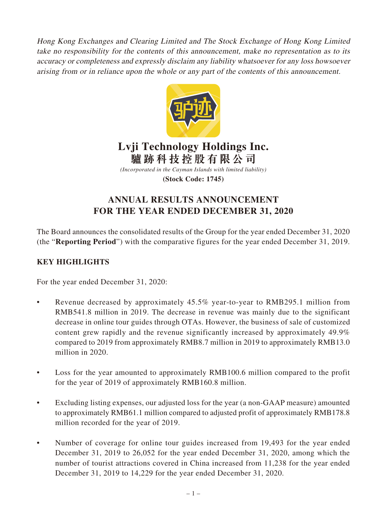Hong Kong Exchanges and Clearing Limited and The Stock Exchange of Hong Kong Limited take no responsibility for the contents of this announcement, make no representation as to its accuracy or completeness and expressly disclaim any liability whatsoever for any loss howsoever arising from or in reliance upon the whole or any part of the contents of this announcement.



# **Lvji Technology Holdings Inc. 驢跡科技控股有限公司**

*(Incorporated in the Cayman Islands with limited liability)* **(Stock Code: 1745)**

# **ANNUAL RESULTS ANNOUNCEMENT FOR THE YEAR ENDED DECEMBER 31, 2020**

The Board announces the consolidated results of the Group for the year ended December 31, 2020 (the "**Reporting Period**") with the comparative figures for the year ended December 31, 2019.

# **KEY HIGHLIGHTS**

For the year ended December 31, 2020:

- Revenue decreased by approximately 45.5% year-to-year to RMB295.1 million from RMB541.8 million in 2019. The decrease in revenue was mainly due to the significant decrease in online tour guides through OTAs. However, the business of sale of customized content grew rapidly and the revenue significantly increased by approximately 49.9% compared to 2019 from approximately RMB8.7 million in 2019 to approximately RMB13.0 million in 2020.
- Loss for the year amounted to approximately RMB100.6 million compared to the profit for the year of 2019 of approximately RMB160.8 million.
- Excluding listing expenses, our adjusted loss for the year (a non-GAAP measure) amounted to approximately RMB61.1 million compared to adjusted profit of approximately RMB178.8 million recorded for the year of 2019.
- Number of coverage for online tour guides increased from 19,493 for the year ended December 31, 2019 to 26,052 for the year ended December 31, 2020, among which the number of tourist attractions covered in China increased from 11,238 for the year ended December 31, 2019 to 14,229 for the year ended December 31, 2020.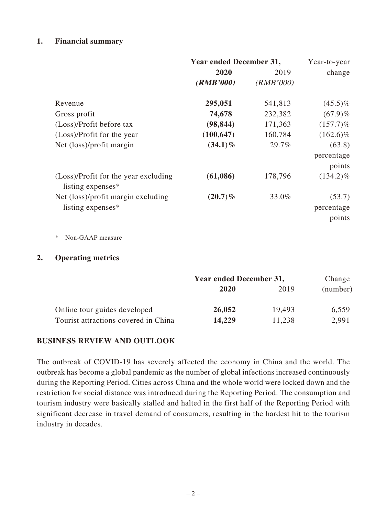# **1. Financial summary**

|                                                           | <b>Year ended December 31,</b> | Year-to-year |                                |
|-----------------------------------------------------------|--------------------------------|--------------|--------------------------------|
|                                                           | 2020                           | 2019         | change                         |
|                                                           | (RMB'000)                      | (RMB'000)    |                                |
| Revenue                                                   | 295,051                        | 541,813      | $(45.5)\%$                     |
| Gross profit                                              | 74,678                         | 232,382      | $(67.9)\%$                     |
| (Loss)/Profit before tax                                  | (98, 844)                      | 171,363      | $(157.7)\%$                    |
| (Loss)/Profit for the year                                | (100, 647)                     | 160,784      | $(162.6)\%$                    |
| Net (loss)/profit margin                                  | $(34.1)\%$                     | 29.7%        | (63.8)                         |
|                                                           |                                |              | percentage<br>points           |
| (Loss)/Profit for the year excluding<br>listing expenses* | (61,086)                       | 178,796      | $(134.2)\%$                    |
| Net (loss)/profit margin excluding<br>listing expenses*   | $(20.7)\%$                     | 33.0%        | (53.7)<br>percentage<br>points |
| Non-GAAP measure<br>∗                                     |                                |              |                                |

### **2. Operating metrics**

|                                      | Year ended December 31, | Change |          |
|--------------------------------------|-------------------------|--------|----------|
|                                      | 2020                    | 2019   | (number) |
| Online tour guides developed         | 26,052                  | 19.493 | 6,559    |
| Tourist attractions covered in China | 14,229                  | 11,238 | 2,991    |

### **BUSINESS REVIEW AND OUTLOOK**

The outbreak of COVID-19 has severely affected the economy in China and the world. The outbreak has become a global pandemic as the number of global infections increased continuously during the Reporting Period. Cities across China and the whole world were locked down and the restriction for social distance was introduced during the Reporting Period. The consumption and tourism industry were basically stalled and halted in the first half of the Reporting Period with significant decrease in travel demand of consumers, resulting in the hardest hit to the tourism industry in decades.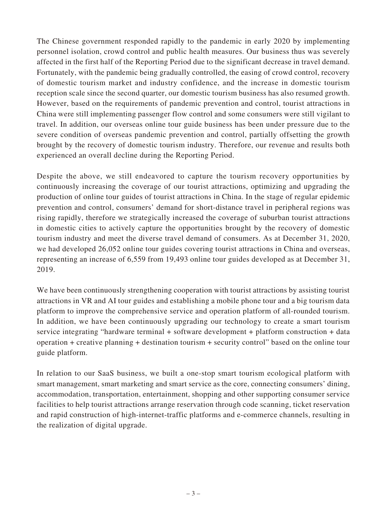The Chinese government responded rapidly to the pandemic in early 2020 by implementing personnel isolation, crowd control and public health measures. Our business thus was severely affected in the first half of the Reporting Period due to the significant decrease in travel demand. Fortunately, with the pandemic being gradually controlled, the easing of crowd control, recovery of domestic tourism market and industry confidence, and the increase in domestic tourism reception scale since the second quarter, our domestic tourism business has also resumed growth. However, based on the requirements of pandemic prevention and control, tourist attractions in China were still implementing passenger flow control and some consumers were still vigilant to travel. In addition, our overseas online tour guide business has been under pressure due to the severe condition of overseas pandemic prevention and control, partially offsetting the growth brought by the recovery of domestic tourism industry. Therefore, our revenue and results both experienced an overall decline during the Reporting Period.

Despite the above, we still endeavored to capture the tourism recovery opportunities by continuously increasing the coverage of our tourist attractions, optimizing and upgrading the production of online tour guides of tourist attractions in China. In the stage of regular epidemic prevention and control, consumers' demand for short-distance travel in peripheral regions was rising rapidly, therefore we strategically increased the coverage of suburban tourist attractions in domestic cities to actively capture the opportunities brought by the recovery of domestic tourism industry and meet the diverse travel demand of consumers. As at December 31, 2020, we had developed 26,052 online tour guides covering tourist attractions in China and overseas, representing an increase of 6,559 from 19,493 online tour guides developed as at December 31, 2019.

We have been continuously strengthening cooperation with tourist attractions by assisting tourist attractions in VR and AI tour guides and establishing a mobile phone tour and a big tourism data platform to improve the comprehensive service and operation platform of all-rounded tourism. In addition, we have been continuously upgrading our technology to create a smart tourism service integrating "hardware terminal + software development + platform construction + data operation + creative planning + destination tourism + security control" based on the online tour guide platform.

In relation to our SaaS business, we built a one-stop smart tourism ecological platform with smart management, smart marketing and smart service as the core, connecting consumers' dining, accommodation, transportation, entertainment, shopping and other supporting consumer service facilities to help tourist attractions arrange reservation through code scanning, ticket reservation and rapid construction of high-internet-traffic platforms and e-commerce channels, resulting in the realization of digital upgrade.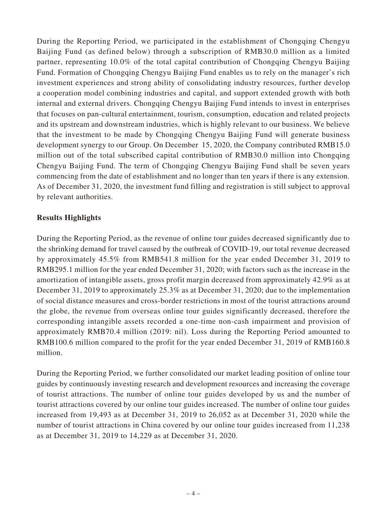During the Reporting Period, we participated in the establishment of Chongqing Chengyu Baijing Fund (as defined below) through a subscription of RMB30.0 million as a limited partner, representing 10.0% of the total capital contribution of Chongqing Chengyu Baijing Fund. Formation of Chongqing Chengyu Baijing Fund enables us to rely on the manager's rich investment experiences and strong ability of consolidating industry resources, further develop a cooperation model combining industries and capital, and support extended growth with both internal and external drivers. Chongqing Chengyu Baijing Fund intends to invest in enterprises that focuses on pan-cultural entertainment, tourism, consumption, education and related projects and its upstream and downstream industries, which is highly relevant to our business. We believe that the investment to be made by Chongqing Chengyu Baijing Fund will generate business development synergy to our Group. On December 15, 2020, the Company contributed RMB15.0 million out of the total subscribed capital contribution of RMB30.0 million into Chongqing Chengyu Baijing Fund. The term of Chongqing Chengyu Baijing Fund shall be seven years commencing from the date of establishment and no longer than ten years if there is any extension. As of December 31, 2020, the investment fund filling and registration is still subject to approval by relevant authorities.

# **Results Highlights**

During the Reporting Period, as the revenue of online tour guides decreased significantly due to the shrinking demand for travel caused by the outbreak of COVID-19, our total revenue decreased by approximately 45.5% from RMB541.8 million for the year ended December 31, 2019 to RMB295.1 million for the year ended December 31, 2020; with factors such as the increase in the amortization of intangible assets, gross profit margin decreased from approximately 42.9% as at December 31, 2019 to approximately 25.3% as at December 31, 2020; due to the implementation of social distance measures and cross-border restrictions in most of the tourist attractions around the globe, the revenue from overseas online tour guides significantly decreased, therefore the corresponding intangible assets recorded a one-time non-cash impairment and provision of approximately RMB70.4 million (2019: nil). Loss during the Reporting Period amounted to RMB100.6 million compared to the profit for the year ended December 31, 2019 of RMB160.8 million.

During the Reporting Period, we further consolidated our market leading position of online tour guides by continuously investing research and development resources and increasing the coverage of tourist attractions. The number of online tour guides developed by us and the number of tourist attractions covered by our online tour guides increased. The number of online tour guides increased from 19,493 as at December 31, 2019 to 26,052 as at December 31, 2020 while the number of tourist attractions in China covered by our online tour guides increased from 11,238 as at December 31, 2019 to 14,229 as at December 31, 2020.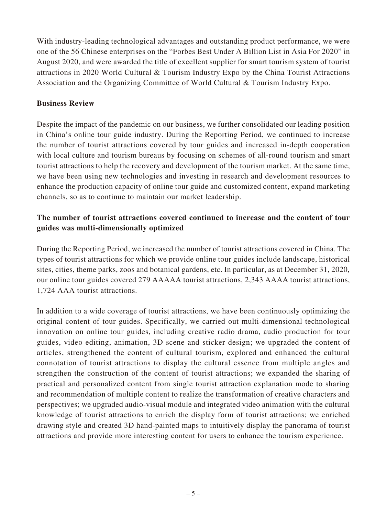With industry-leading technological advantages and outstanding product performance, we were one of the 56 Chinese enterprises on the "Forbes Best Under A Billion List in Asia For 2020" in August 2020, and were awarded the title of excellent supplier for smart tourism system of tourist attractions in 2020 World Cultural & Tourism Industry Expo by the China Tourist Attractions Association and the Organizing Committee of World Cultural & Tourism Industry Expo.

# **Business Review**

Despite the impact of the pandemic on our business, we further consolidated our leading position in China's online tour guide industry. During the Reporting Period, we continued to increase the number of tourist attractions covered by tour guides and increased in-depth cooperation with local culture and tourism bureaus by focusing on schemes of all-round tourism and smart tourist attractions to help the recovery and development of the tourism market. At the same time, we have been using new technologies and investing in research and development resources to enhance the production capacity of online tour guide and customized content, expand marketing channels, so as to continue to maintain our market leadership.

# **The number of tourist attractions covered continued to increase and the content of tour guides was multi-dimensionally optimized**

During the Reporting Period, we increased the number of tourist attractions covered in China. The types of tourist attractions for which we provide online tour guides include landscape, historical sites, cities, theme parks, zoos and botanical gardens, etc. In particular, as at December 31, 2020, our online tour guides covered 279 AAAAA tourist attractions, 2,343 AAAA tourist attractions, 1,724 AAA tourist attractions.

In addition to a wide coverage of tourist attractions, we have been continuously optimizing the original content of tour guides. Specifically, we carried out multi-dimensional technological innovation on online tour guides, including creative radio drama, audio production for tour guides, video editing, animation, 3D scene and sticker design; we upgraded the content of articles, strengthened the content of cultural tourism, explored and enhanced the cultural connotation of tourist attractions to display the cultural essence from multiple angles and strengthen the construction of the content of tourist attractions; we expanded the sharing of practical and personalized content from single tourist attraction explanation mode to sharing and recommendation of multiple content to realize the transformation of creative characters and perspectives; we upgraded audio-visual module and integrated video animation with the cultural knowledge of tourist attractions to enrich the display form of tourist attractions; we enriched drawing style and created 3D hand-painted maps to intuitively display the panorama of tourist attractions and provide more interesting content for users to enhance the tourism experience.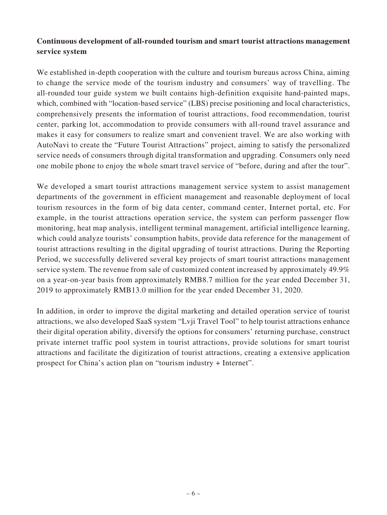# **Continuous development of all-rounded tourism and smart tourist attractions management service system**

We established in-depth cooperation with the culture and tourism bureaus across China, aiming to change the service mode of the tourism industry and consumers' way of travelling. The all-rounded tour guide system we built contains high-definition exquisite hand-painted maps, which, combined with "location-based service" (LBS) precise positioning and local characteristics, comprehensively presents the information of tourist attractions, food recommendation, tourist center, parking lot, accommodation to provide consumers with all-round travel assurance and makes it easy for consumers to realize smart and convenient travel. We are also working with AutoNavi to create the "Future Tourist Attractions" project, aiming to satisfy the personalized service needs of consumers through digital transformation and upgrading. Consumers only need one mobile phone to enjoy the whole smart travel service of "before, during and after the tour".

We developed a smart tourist attractions management service system to assist management departments of the government in efficient management and reasonable deployment of local tourism resources in the form of big data center, command center, Internet portal, etc. For example, in the tourist attractions operation service, the system can perform passenger flow monitoring, heat map analysis, intelligent terminal management, artificial intelligence learning, which could analyze tourists' consumption habits, provide data reference for the management of tourist attractions resulting in the digital upgrading of tourist attractions. During the Reporting Period, we successfully delivered several key projects of smart tourist attractions management service system. The revenue from sale of customized content increased by approximately 49.9% on a year-on-year basis from approximately RMB8.7 million for the year ended December 31, 2019 to approximately RMB13.0 million for the year ended December 31, 2020.

In addition, in order to improve the digital marketing and detailed operation service of tourist attractions, we also developed SaaS system "Lvji Travel Tool" to help tourist attractions enhance their digital operation ability, diversify the options for consumers' returning purchase, construct private internet traffic pool system in tourist attractions, provide solutions for smart tourist attractions and facilitate the digitization of tourist attractions, creating a extensive application prospect for China's action plan on "tourism industry + Internet".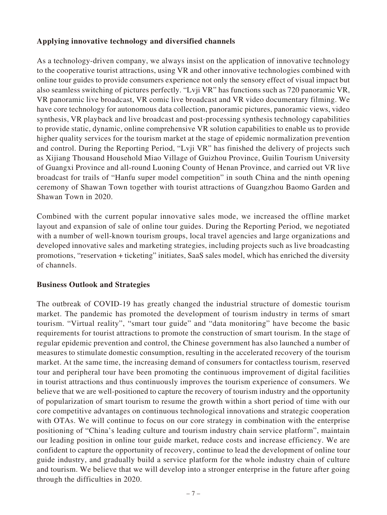# **Applying innovative technology and diversified channels**

As a technology-driven company, we always insist on the application of innovative technology to the cooperative tourist attractions, using VR and other innovative technologies combined with online tour guides to provide consumers experience not only the sensory effect of visual impact but also seamless switching of pictures perfectly. "Lvji VR" has functions such as 720 panoramic VR, VR panoramic live broadcast, VR comic live broadcast and VR video documentary filming. We have core technology for autonomous data collection, panoramic pictures, panoramic views, video synthesis, VR playback and live broadcast and post-processing synthesis technology capabilities to provide static, dynamic, online comprehensive VR solution capabilities to enable us to provide higher quality services for the tourism market at the stage of epidemic normalization prevention and control. During the Reporting Period, "Lvji VR" has finished the delivery of projects such as Xijiang Thousand Household Miao Village of Guizhou Province, Guilin Tourism University of Guangxi Province and all-round Luoning County of Henan Province, and carried out VR live broadcast for trails of "Hanfu super model competition" in south China and the ninth opening ceremony of Shawan Town together with tourist attractions of Guangzhou Baomo Garden and Shawan Town in 2020.

Combined with the current popular innovative sales mode, we increased the offline market layout and expansion of sale of online tour guides. During the Reporting Period, we negotiated with a number of well-known tourism groups, local travel agencies and large organizations and developed innovative sales and marketing strategies, including projects such as live broadcasting promotions, "reservation + ticketing" initiates, SaaS sales model, which has enriched the diversity of channels.

# **Business Outlook and Strategies**

The outbreak of COVID-19 has greatly changed the industrial structure of domestic tourism market. The pandemic has promoted the development of tourism industry in terms of smart tourism. "Virtual reality", "smart tour guide" and "data monitoring" have become the basic requirements for tourist attractions to promote the construction of smart tourism. In the stage of regular epidemic prevention and control, the Chinese government has also launched a number of measures to stimulate domestic consumption, resulting in the accelerated recovery of the tourism market. At the same time, the increasing demand of consumers for contactless tourism, reserved tour and peripheral tour have been promoting the continuous improvement of digital facilities in tourist attractions and thus continuously improves the tourism experience of consumers. We believe that we are well-positioned to capture the recovery of tourism industry and the opportunity of popularization of smart tourism to resume the growth within a short period of time with our core competitive advantages on continuous technological innovations and strategic cooperation with OTAs. We will continue to focus on our core strategy in combination with the enterprise positioning of "China's leading culture and tourism industry chain service platform", maintain our leading position in online tour guide market, reduce costs and increase efficiency. We are confident to capture the opportunity of recovery, continue to lead the development of online tour guide industry, and gradually build a service platform for the whole industry chain of culture and tourism. We believe that we will develop into a stronger enterprise in the future after going through the difficulties in 2020.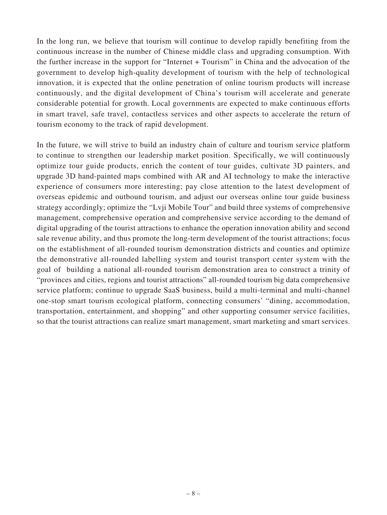In the long run, we believe that tourism will continue to develop rapidly benefiting from the continuous increase in the number of Chinese middle class and upgrading consumption. With the further increase in the support for "Internet + Tourism" in China and the advocation of the government to develop high-quality development of tourism with the help of technological innovation, it is expected that the online penetration of online tourism products will increase continuously, and the digital development of China's tourism will accelerate and generate considerable potential for growth. Local governments are expected to make continuous efforts in smart travel, safe travel, contactless services and other aspects to accelerate the return of tourism economy to the track of rapid development.

In the future, we will strive to build an industry chain of culture and tourism service platform to continue to strengthen our leadership market position. Specifically, we will continuously optimize tour guide products, enrich the content of tour guides, cultivate 3D painters, and upgrade 3D hand-painted maps combined with AR and AI technology to make the interactive experience of consumers more interesting; pay close attention to the latest development of overseas epidemic and outbound tourism, and adjust our overseas online tour guide business strategy accordingly; optimize the "Lvji Mobile Tour" and build three systems of comprehensive management, comprehensive operation and comprehensive service according to the demand of digital upgrading of the tourist attractions to enhance the operation innovation ability and second sale revenue ability, and thus promote the long-term development of the tourist attractions; focus on the establishment of all-rounded tourism demonstration districts and counties and optimize the demonstrative all-rounded labelling system and tourist transport center system with the goal of building a national all-rounded tourism demonstration area to construct a trinity of "provinces and cities, regions and tourist attractions" all-rounded tourism big data comprehensive service platform; continue to upgrade SaaS business, build a multi-terminal and multi-channel one-stop smart tourism ecological platform, connecting consumers' "dining, accommodation, transportation, entertainment, and shopping" and other supporting consumer service facilities, so that the tourist attractions can realize smart management, smart marketing and smart services.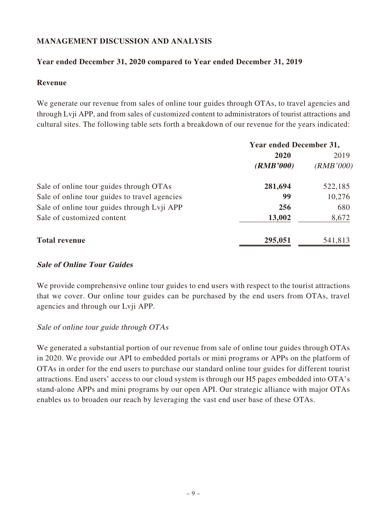# **MANAGEMENT DISCUSSION AND ANALYSIS**

# **Year ended December 31, 2020 compared to Year ended December 31, 2019**

### **Revenue**

We generate our revenue from sales of online tour guides through OTAs, to travel agencies and through Lvji APP, and from sales of customized content to administrators of tourist attractions and cultural sites. The following table sets forth a breakdown of our revenue for the years indicated:

|                                               | <b>Year ended December 31,</b> |           |  |
|-----------------------------------------------|--------------------------------|-----------|--|
|                                               | 2020                           | 2019      |  |
|                                               | (RMB'000)                      | (RMB'000) |  |
| Sale of online tour guides through OTAs       | 281,694                        | 522,185   |  |
| Sale of online tour guides to travel agencies | 99                             | 10,276    |  |
| Sale of online tour guides through Lvji APP   | 256                            | 680       |  |
| Sale of customized content                    | 13,002                         | 8,672     |  |
| <b>Total revenue</b>                          | 295,051                        | 541,813   |  |

# **Sale of Online Tour Guides**

We provide comprehensive online tour guides to end users with respect to the tourist attractions that we cover. Our online tour guides can be purchased by the end users from OTAs, travel agencies and through our Lvji APP.

# Sale of online tour guide through OTAs

We generated a substantial portion of our revenue from sale of online tour guides through OTAs in 2020. We provide our API to embedded portals or mini programs or APPs on the platform of OTAs in order for the end users to purchase our standard online tour guides for different tourist attractions. End users' access to our cloud system is through our H5 pages embedded into OTA's stand-alone APPs and mini programs by our open API. Our strategic alliance with major OTAs enables us to broaden our reach by leveraging the vast end user base of these OTAs.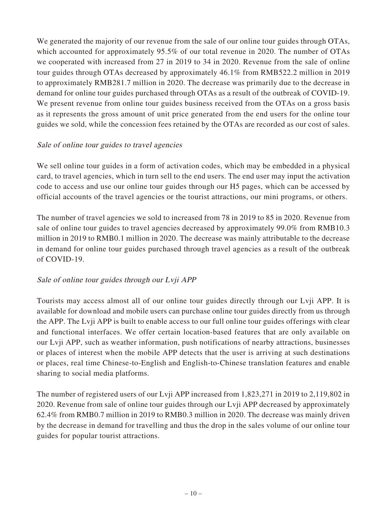We generated the majority of our revenue from the sale of our online tour guides through OTAs, which accounted for approximately 95.5% of our total revenue in 2020. The number of OTAs we cooperated with increased from 27 in 2019 to 34 in 2020. Revenue from the sale of online tour guides through OTAs decreased by approximately 46.1% from RMB522.2 million in 2019 to approximately RMB281.7 million in 2020. The decrease was primarily due to the decrease in demand for online tour guides purchased through OTAs as a result of the outbreak of COVID-19. We present revenue from online tour guides business received from the OTAs on a gross basis as it represents the gross amount of unit price generated from the end users for the online tour guides we sold, while the concession fees retained by the OTAs are recorded as our cost of sales.

# Sale of online tour guides to travel agencies

We sell online tour guides in a form of activation codes, which may be embedded in a physical card, to travel agencies, which in turn sell to the end users. The end user may input the activation code to access and use our online tour guides through our H5 pages, which can be accessed by official accounts of the travel agencies or the tourist attractions, our mini programs, or others.

The number of travel agencies we sold to increased from 78 in 2019 to 85 in 2020. Revenue from sale of online tour guides to travel agencies decreased by approximately 99.0% from RMB10.3 million in 2019 to RMB0.1 million in 2020. The decrease was mainly attributable to the decrease in demand for online tour guides purchased through travel agencies as a result of the outbreak of COVID-19.

# Sale of online tour guides through our Lvji APP

Tourists may access almost all of our online tour guides directly through our Lvji APP. It is available for download and mobile users can purchase online tour guides directly from us through the APP. The Lvji APP is built to enable access to our full online tour guides offerings with clear and functional interfaces. We offer certain location-based features that are only available on our Lvji APP, such as weather information, push notifications of nearby attractions, businesses or places of interest when the mobile APP detects that the user is arriving at such destinations or places, real time Chinese-to-English and English-to-Chinese translation features and enable sharing to social media platforms.

The number of registered users of our Lvji APP increased from 1,823,271 in 2019 to 2,119,802 in 2020. Revenue from sale of online tour guides through our Lvji APP decreased by approximately 62.4% from RMB0.7 million in 2019 to RMB0.3 million in 2020. The decrease was mainly driven by the decrease in demand for travelling and thus the drop in the sales volume of our online tour guides for popular tourist attractions.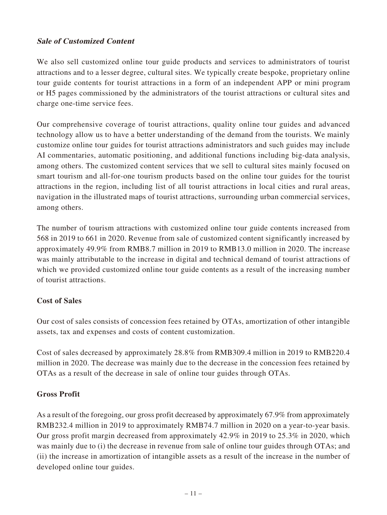# **Sale of Customized Content**

We also sell customized online tour guide products and services to administrators of tourist attractions and to a lesser degree, cultural sites. We typically create bespoke, proprietary online tour guide contents for tourist attractions in a form of an independent APP or mini program or H5 pages commissioned by the administrators of the tourist attractions or cultural sites and charge one-time service fees.

Our comprehensive coverage of tourist attractions, quality online tour guides and advanced technology allow us to have a better understanding of the demand from the tourists. We mainly customize online tour guides for tourist attractions administrators and such guides may include AI commentaries, automatic positioning, and additional functions including big-data analysis, among others. The customized content services that we sell to cultural sites mainly focused on smart tourism and all-for-one tourism products based on the online tour guides for the tourist attractions in the region, including list of all tourist attractions in local cities and rural areas, navigation in the illustrated maps of tourist attractions, surrounding urban commercial services, among others.

The number of tourism attractions with customized online tour guide contents increased from 568 in 2019 to 661 in 2020. Revenue from sale of customized content significantly increased by approximately 49.9% from RMB8.7 million in 2019 to RMB13.0 million in 2020. The increase was mainly attributable to the increase in digital and technical demand of tourist attractions of which we provided customized online tour guide contents as a result of the increasing number of tourist attractions.

# **Cost of Sales**

Our cost of sales consists of concession fees retained by OTAs, amortization of other intangible assets, tax and expenses and costs of content customization.

Cost of sales decreased by approximately 28.8% from RMB309.4 million in 2019 to RMB220.4 million in 2020. The decrease was mainly due to the decrease in the concession fees retained by OTAs as a result of the decrease in sale of online tour guides through OTAs.

# **Gross Profit**

As a result of the foregoing, our gross profit decreased by approximately 67.9% from approximately RMB232.4 million in 2019 to approximately RMB74.7 million in 2020 on a year-to-year basis. Our gross profit margin decreased from approximately 42.9% in 2019 to 25.3% in 2020, which was mainly due to (i) the decrease in revenue from sale of online tour guides through OTAs; and (ii) the increase in amortization of intangible assets as a result of the increase in the number of developed online tour guides.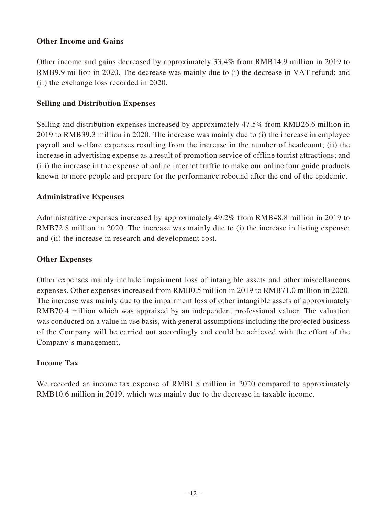# **Other Income and Gains**

Other income and gains decreased by approximately 33.4% from RMB14.9 million in 2019 to RMB9.9 million in 2020. The decrease was mainly due to (i) the decrease in VAT refund; and (ii) the exchange loss recorded in 2020.

# **Selling and Distribution Expenses**

Selling and distribution expenses increased by approximately 47.5% from RMB26.6 million in 2019 to RMB39.3 million in 2020. The increase was mainly due to (i) the increase in employee payroll and welfare expenses resulting from the increase in the number of headcount; (ii) the increase in advertising expense as a result of promotion service of offline tourist attractions; and (iii) the increase in the expense of online internet traffic to make our online tour guide products known to more people and prepare for the performance rebound after the end of the epidemic.

# **Administrative Expenses**

Administrative expenses increased by approximately 49.2% from RMB48.8 million in 2019 to RMB72.8 million in 2020. The increase was mainly due to (i) the increase in listing expense; and (ii) the increase in research and development cost.

# **Other Expenses**

Other expenses mainly include impairment loss of intangible assets and other miscellaneous expenses. Other expenses increased from RMB0.5 million in 2019 to RMB71.0 million in 2020. The increase was mainly due to the impairment loss of other intangible assets of approximately RMB70.4 million which was appraised by an independent professional valuer. The valuation was conducted on a value in use basis, with general assumptions including the projected business of the Company will be carried out accordingly and could be achieved with the effort of the Company's management.

# **Income Tax**

We recorded an income tax expense of RMB1.8 million in 2020 compared to approximately RMB10.6 million in 2019, which was mainly due to the decrease in taxable income.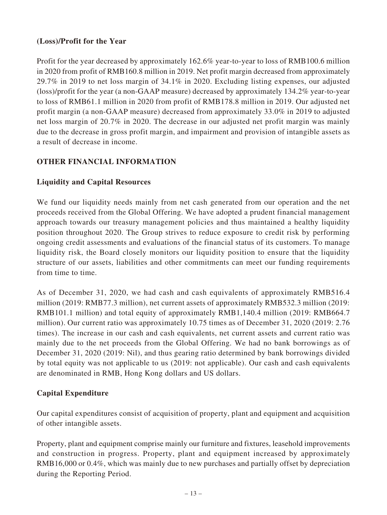# **(Loss)/Profit for the Year**

Profit for the year decreased by approximately 162.6% year-to-year to loss of RMB100.6 million in 2020 from profit of RMB160.8 million in 2019. Net profit margin decreased from approximately 29.7% in 2019 to net loss margin of 34.1% in 2020. Excluding listing expenses, our adjusted (loss)/profit for the year (a non-GAAP measure) decreased by approximately 134.2% year-to-year to loss of RMB61.1 million in 2020 from profit of RMB178.8 million in 2019. Our adjusted net profit margin (a non-GAAP measure) decreased from approximately 33.0% in 2019 to adjusted net loss margin of 20.7% in 2020. The decrease in our adjusted net profit margin was mainly due to the decrease in gross profit margin, and impairment and provision of intangible assets as a result of decrease in income.

# **OTHER FINANCIAL INFORMATION**

# **Liquidity and Capital Resources**

We fund our liquidity needs mainly from net cash generated from our operation and the net proceeds received from the Global Offering. We have adopted a prudent financial management approach towards our treasury management policies and thus maintained a healthy liquidity position throughout 2020. The Group strives to reduce exposure to credit risk by performing ongoing credit assessments and evaluations of the financial status of its customers. To manage liquidity risk, the Board closely monitors our liquidity position to ensure that the liquidity structure of our assets, liabilities and other commitments can meet our funding requirements from time to time.

As of December 31, 2020, we had cash and cash equivalents of approximately RMB516.4 million (2019: RMB77.3 million), net current assets of approximately RMB532.3 million (2019: RMB101.1 million) and total equity of approximately RMB1,140.4 million (2019: RMB664.7 million). Our current ratio was approximately 10.75 times as of December 31, 2020 (2019: 2.76 times). The increase in our cash and cash equivalents, net current assets and current ratio was mainly due to the net proceeds from the Global Offering. We had no bank borrowings as of December 31, 2020 (2019: Nil), and thus gearing ratio determined by bank borrowings divided by total equity was not applicable to us (2019: not applicable). Our cash and cash equivalents are denominated in RMB, Hong Kong dollars and US dollars.

# **Capital Expenditure**

Our capital expenditures consist of acquisition of property, plant and equipment and acquisition of other intangible assets.

Property, plant and equipment comprise mainly our furniture and fixtures, leasehold improvements and construction in progress. Property, plant and equipment increased by approximately RMB16,000 or 0.4%, which was mainly due to new purchases and partially offset by depreciation during the Reporting Period.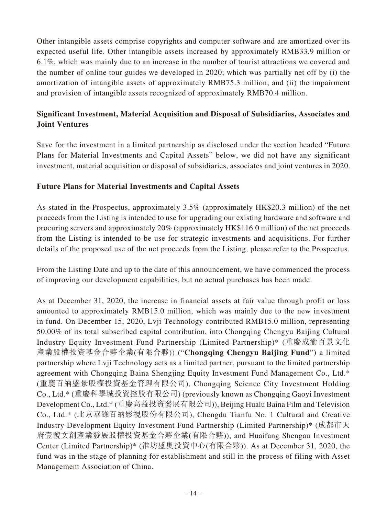Other intangible assets comprise copyrights and computer software and are amortized over its expected useful life. Other intangible assets increased by approximately RMB33.9 million or 6.1%, which was mainly due to an increase in the number of tourist attractions we covered and the number of online tour guides we developed in 2020; which was partially net off by (i) the amortization of intangible assets of approximately RMB75.3 million; and (ii) the impairment and provision of intangible assets recognized of approximately RMB70.4 million.

# **Significant Investment, Material Acquisition and Disposal of Subsidiaries, Associates and Joint Ventures**

Save for the investment in a limited partnership as disclosed under the section headed "Future Plans for Material Investments and Capital Assets" below, we did not have any significant investment, material acquisition or disposal of subsidiaries, associates and joint ventures in 2020.

# **Future Plans for Material Investments and Capital Assets**

As stated in the Prospectus, approximately 3.5% (approximately HK\$20.3 million) of the net proceeds from the Listing is intended to use for upgrading our existing hardware and software and procuring servers and approximately 20% (approximately HK\$116.0 million) of the net proceeds from the Listing is intended to be use for strategic investments and acquisitions. For further details of the proposed use of the net proceeds from the Listing, please refer to the Prospectus.

From the Listing Date and up to the date of this announcement, we have commenced the process of improving our development capabilities, but no actual purchases has been made.

As at December 31, 2020, the increase in financial assets at fair value through profit or loss amounted to approximately RMB15.0 million, which was mainly due to the new investment in fund. On December 15, 2020, Lvji Technology contributed RMB15.0 million, representing 50.00% of its total subscribed capital contribution, into Chongqing Chengyu Baijing Cultural Industry Equity Investment Fund Partnership (Limited Partnership)\* (重慶成渝百景文化 產業股權投資基金合夥企業(有限合夥)) ("**Chongqing Chengyu Baijing Fund**") a limited partnership where Lvji Technology acts as a limited partner, pursuant to the limited partnership agreement with Chongqing Baina Shengjing Equity Investment Fund Management Co., Ltd.\* (重慶百納盛景股權投資基金管理有限公司), Chongqing Science City Investment Holding Co., Ltd.\* (重慶科學城投資控股有限公司) (previously known as Chongqing Gaoyi Investment Development Co., Ltd.\* (重慶高益投資發展有限公司)), Beijing Hualu Baina Film and Television Co., Ltd.\* (北京華錄百納影視股份有限公司), Chengdu Tianfu No. 1 Cultural and Creative Industry Development Equity Investment Fund Partnership (Limited Partnership)\* (成都市天 府壹號文創產業發展股權投資基金合夥企業(有限合夥)), and Huaifang Shengau Investment Center (Limited Partnership)\* (淮坊盛奧投資中心(有限合夥)). As at December 31, 2020, the fund was in the stage of planning for establishment and still in the process of filing with Asset Management Association of China.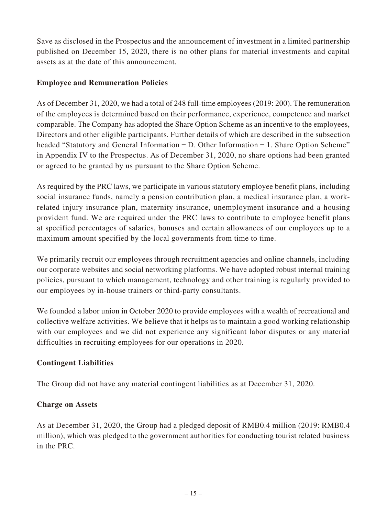Save as disclosed in the Prospectus and the announcement of investment in a limited partnership published on December 15, 2020, there is no other plans for material investments and capital assets as at the date of this announcement.

# **Employee and Remuneration Policies**

As of December 31, 2020, we had a total of 248 full-time employees (2019: 200). The remuneration of the employees is determined based on their performance, experience, competence and market comparable. The Company has adopted the Share Option Scheme as an incentive to the employees, Directors and other eligible participants. Further details of which are described in the subsection headed "Statutory and General Information – D. Other Information – 1. Share Option Scheme" in Appendix IV to the Prospectus. As of December 31, 2020, no share options had been granted or agreed to be granted by us pursuant to the Share Option Scheme.

As required by the PRC laws, we participate in various statutory employee benefit plans, including social insurance funds, namely a pension contribution plan, a medical insurance plan, a workrelated injury insurance plan, maternity insurance, unemployment insurance and a housing provident fund. We are required under the PRC laws to contribute to employee benefit plans at specified percentages of salaries, bonuses and certain allowances of our employees up to a maximum amount specified by the local governments from time to time.

We primarily recruit our employees through recruitment agencies and online channels, including our corporate websites and social networking platforms. We have adopted robust internal training policies, pursuant to which management, technology and other training is regularly provided to our employees by in-house trainers or third-party consultants.

We founded a labor union in October 2020 to provide employees with a wealth of recreational and collective welfare activities. We believe that it helps us to maintain a good working relationship with our employees and we did not experience any significant labor disputes or any material difficulties in recruiting employees for our operations in 2020.

# **Contingent Liabilities**

The Group did not have any material contingent liabilities as at December 31, 2020.

# **Charge on Assets**

As at December 31, 2020, the Group had a pledged deposit of RMB0.4 million (2019: RMB0.4 million), which was pledged to the government authorities for conducting tourist related business in the PRC.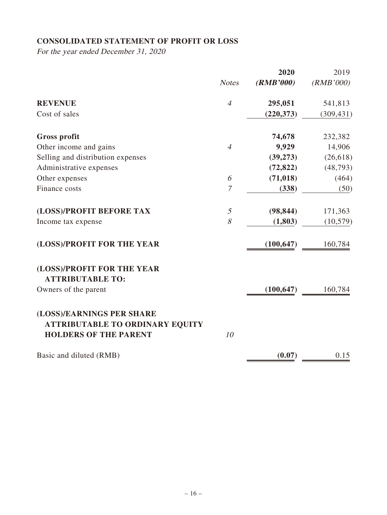# **CONSOLIDATED STATEMENT OF PROFIT OR LOSS**

For the year ended December 31, 2020

|                                        |                | 2020       | 2019       |
|----------------------------------------|----------------|------------|------------|
|                                        | <b>Notes</b>   | (RMB'000)  | (RMB'000)  |
| <b>REVENUE</b>                         | $\overline{4}$ | 295,051    | 541,813    |
| Cost of sales                          |                | (220, 373) | (309, 431) |
| <b>Gross profit</b>                    |                | 74,678     | 232,382    |
| Other income and gains                 | $\overline{4}$ | 9,929      | 14,906     |
| Selling and distribution expenses      |                | (39, 273)  | (26, 618)  |
| Administrative expenses                |                | (72, 822)  | (48, 793)  |
| Other expenses                         | 6              | (71, 018)  | (464)      |
| Finance costs                          | 7              | (338)      | (50)       |
| (LOSS)/PROFIT BEFORE TAX               | $\mathfrak{I}$ | (98, 844)  | 171,363    |
| Income tax expense                     | 8              | (1,803)    | (10, 579)  |
| (LOSS)/PROFIT FOR THE YEAR             |                | (100, 647) | 160,784    |
| (LOSS)/PROFIT FOR THE YEAR             |                |            |            |
| <b>ATTRIBUTABLE TO:</b>                |                |            |            |
| Owners of the parent                   |                | (100, 647) | 160,784    |
| (LOSS)/EARNINGS PER SHARE              |                |            |            |
| <b>ATTRIBUTABLE TO ORDINARY EQUITY</b> |                |            |            |
| <b>HOLDERS OF THE PARENT</b>           | 10             |            |            |
| Basic and diluted (RMB)                |                | (0.07)     | 0.15       |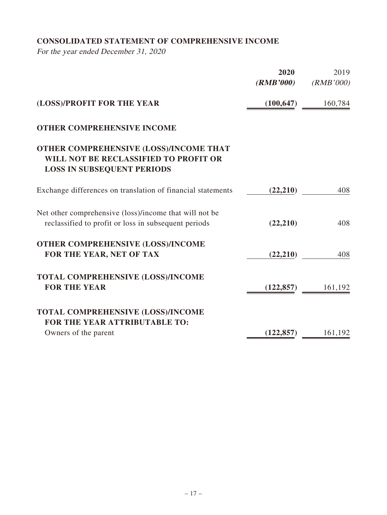# **CONSOLIDATED STATEMENT OF COMPREHENSIVE INCOME**

For the year ended December 31, 2020

|                                                                                                                      | 2020<br>(RMB'000) | 2019<br>(RMB'000) |
|----------------------------------------------------------------------------------------------------------------------|-------------------|-------------------|
| (LOSS)/PROFIT FOR THE YEAR                                                                                           | (100, 647)        | 160,784           |
| <b>OTHER COMPREHENSIVE INCOME</b>                                                                                    |                   |                   |
| OTHER COMPREHENSIVE (LOSS)/INCOME THAT<br>WILL NOT BE RECLASSIFIED TO PROFIT OR<br><b>LOSS IN SUBSEQUENT PERIODS</b> |                   |                   |
| Exchange differences on translation of financial statements                                                          | (22, 210)         | 408               |
| Net other comprehensive (loss)/income that will not be<br>reclassified to profit or loss in subsequent periods       | (22, 210)         | 408               |
| OTHER COMPREHENSIVE (LOSS)/INCOME<br>FOR THE YEAR, NET OF TAX                                                        | (22, 210)         | 408               |
| <b>TOTAL COMPREHENSIVE (LOSS)/INCOME</b><br><b>FOR THE YEAR</b>                                                      | (122, 857)        | 161,192           |
| TOTAL COMPREHENSIVE (LOSS)/INCOME<br>FOR THE YEAR ATTRIBUTABLE TO:                                                   |                   |                   |
| Owners of the parent                                                                                                 | (122, 857)        | 161,192           |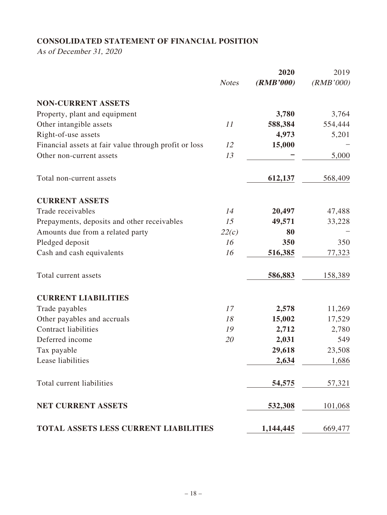# **CONSOLIDATED STATEMENT OF FINANCIAL POSITION**

As of December 31, 2020

|                                                       |              | 2020      | 2019      |
|-------------------------------------------------------|--------------|-----------|-----------|
|                                                       | <b>Notes</b> | (RMB'000) | (RMB'000) |
| <b>NON-CURRENT ASSETS</b>                             |              |           |           |
| Property, plant and equipment                         |              | 3,780     | 3,764     |
| Other intangible assets                               | 11           | 588,384   | 554,444   |
| Right-of-use assets                                   |              | 4,973     | 5,201     |
| Financial assets at fair value through profit or loss | 12           | 15,000    |           |
| Other non-current assets                              | 13           |           | 5,000     |
| Total non-current assets                              |              | 612,137   | 568,409   |
| <b>CURRENT ASSETS</b>                                 |              |           |           |
| Trade receivables                                     | 14           | 20,497    | 47,488    |
| Prepayments, deposits and other receivables           | 15           | 49,571    | 33,228    |
| Amounts due from a related party                      | 22(c)        | 80        |           |
| Pledged deposit                                       | 16           | 350       | 350       |
| Cash and cash equivalents                             | 16           | 516,385   | 77,323    |
| Total current assets                                  |              | 586,883   | 158,389   |
| <b>CURRENT LIABILITIES</b>                            |              |           |           |
| Trade payables                                        | 17           | 2,578     | 11,269    |
| Other payables and accruals                           | 18           | 15,002    | 17,529    |
| <b>Contract liabilities</b>                           | 19           | 2,712     | 2,780     |
| Deferred income                                       | 20           | 2,031     | 549       |
| Tax payable                                           |              | 29,618    | 23,508    |
| Lease liabilities                                     |              | 2,634     | 1,686     |
| Total current liabilities                             |              | 54,575    | 57,321    |
| <b>NET CURRENT ASSETS</b>                             |              | 532,308   | 101,068   |
| TOTAL ASSETS LESS CURRENT LIABILITIES                 |              | 1,144,445 | 669,477   |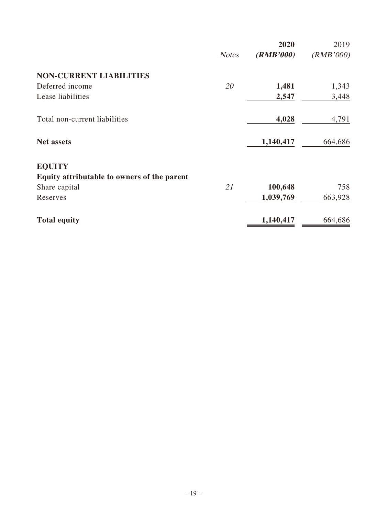|                                             |              | 2020      | 2019      |
|---------------------------------------------|--------------|-----------|-----------|
|                                             | <b>Notes</b> | (RMB'000) | (RMB'000) |
| <b>NON-CURRENT LIABILITIES</b>              |              |           |           |
| Deferred income                             | 20           | 1,481     | 1,343     |
| Lease liabilities                           |              | 2,547     | 3,448     |
| Total non-current liabilities               |              | 4,028     | 4,791     |
| <b>Net assets</b>                           |              | 1,140,417 | 664,686   |
| <b>EQUITY</b>                               |              |           |           |
| Equity attributable to owners of the parent |              |           |           |
| Share capital                               | 21           | 100,648   | 758       |
| Reserves                                    |              | 1,039,769 | 663,928   |
| <b>Total equity</b>                         |              | 1,140,417 | 664,686   |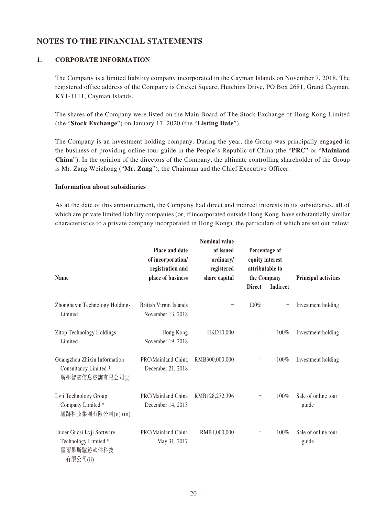# **NOTES TO THE FINANCIAL STATEMENTS**

#### **1. CORPORATE INFORMATION**

The Company is a limited liability company incorporated in the Cayman Islands on November 7, 2018. The registered office address of the Company is Cricket Square, Hutchins Drive, PO Box 2681, Grand Cayman, KY1-1111, Cayman Islands.

The shares of the Company were listed on the Main Board of The Stock Exchange of Hong Kong Limited (the "**Stock Exchange**") on January 17, 2020 (the "**Listing Date**").

The Company is an investment holding company. During the year, the Group was principally engaged in the business of providing online tour guide in the People's Republic of China (the "**PRC**" or "**Mainland China**"). In the opinion of the directors of the Company, the ultimate controlling shareholder of the Group is Mr. Zang Weizhong ("**Mr. Zang**"), the Chairman and the Chief Executive Officer.

#### **Information about subsidiaries**

As at the date of this announcement, the Company had direct and indirect interests in its subsidiaries, all of which are private limited liability companies (or, if incorporated outside Hong Kong, have substantially similar characteristics to a private company incorporated in Hong Kong), the particulars of which are set out below:

| <b>Name</b>                                                                 | Place and date<br>of incorporation/<br>registration and<br>place of business | <b>Nominal value</b><br>of issued<br>ordinary/<br>registered<br>share capital | Percentage of<br>equity interest<br>attributable to<br>the Company<br><b>Direct</b> | <b>Indirect</b> | <b>Principal activities</b>  |
|-----------------------------------------------------------------------------|------------------------------------------------------------------------------|-------------------------------------------------------------------------------|-------------------------------------------------------------------------------------|-----------------|------------------------------|
| Zhonghexin Technology Holdings<br>Limited                                   | British Virgin Islands<br>November 13, 2018                                  |                                                                               | 100%                                                                                |                 | Investment holding           |
| Zitop Technology Holdings<br>Limited                                        | Hong Kong<br>November 19, 2018                                               | HKD10,000                                                                     |                                                                                     | 100%            | Investment holding           |
| Guangzhou Zhixin Information<br>Consultancy Limited *<br>廣州智鑫信息咨詢有限公司(i)    | PRC/Mainland China<br>December 21, 2018                                      | RMB300,000,000                                                                |                                                                                     | 100%            | Investment holding           |
| Lvji Technology Group<br>Company Limited *<br>驢跡科技集團有限公司(ii) (iii)          | PRC/Mainland China<br>December 14, 2013                                      | RMB128,272,396                                                                |                                                                                     | 100%            | Sale of online tour<br>guide |
| Huoer Guosi Lvji Software<br>Technology Limited *<br>霍爾果斯驢跡軟件科技<br>有限公司(ii) | PRC/Mainland China<br>May 31, 2017                                           | RMB1,000,000                                                                  |                                                                                     | 100%            | Sale of online tour<br>guide |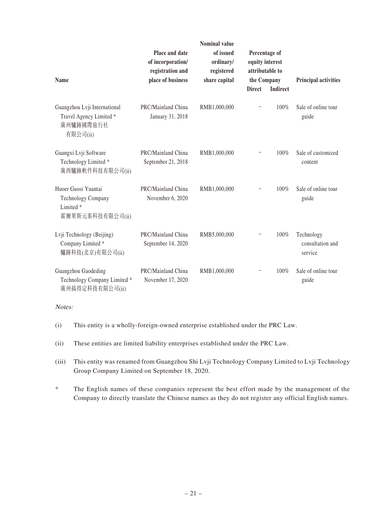| <b>Name</b>                                                                                  | Place and date<br>of incorporation/<br>registration and<br>place of business | <b>Nominal value</b><br>of issued<br>ordinary/<br>registered<br>share capital | Percentage of<br>equity interest<br>attributable to<br>the Company<br><b>Direct</b> | <b>Indirect</b> | <b>Principal activities</b>               |
|----------------------------------------------------------------------------------------------|------------------------------------------------------------------------------|-------------------------------------------------------------------------------|-------------------------------------------------------------------------------------|-----------------|-------------------------------------------|
| Guangzhou Lvji International<br>Travel Agency Limited *<br>廣州驢跡國際旅行社<br>有限公司(ii)             | PRC/Mainland China<br>January 31, 2018                                       | RMB1,000,000                                                                  |                                                                                     | 100%            | Sale of online tour<br>guide              |
| Guangxi Lvji Software<br>Technology Limited *<br>廣西驢跡軟件科技有限公司(ii)                            | PRC/Mainland China<br>September 21, 2018                                     | RMB1,000,000                                                                  |                                                                                     | 100%            | Sale of customized<br>content             |
| Huoer Guosi Yuantai<br><b>Technology Company</b><br>Limited <sup>*</sup><br>霍爾果斯元泰科技有限公司(ii) | PRC/Mainland China<br>November 6, 2020                                       | RMB1,000,000                                                                  |                                                                                     | 100%            | Sale of online tour<br>guide              |
| Lvji Technology (Beijing)<br>Company Limited *<br>驢跡科技(北京)有限公司(ii)                           | PRC/Mainland China<br>September 14, 2020                                     | RMB5,000,000                                                                  |                                                                                     | 100%            | Technology<br>consultation and<br>service |
| Guangzhou Gaodeding<br>Technology Company Limited *<br>廣州搞得定科技有限公司(ii)                       | PRC/Mainland China<br>November 17, 2020                                      | RMB1,000,000                                                                  |                                                                                     | 100%            | Sale of online tour<br>guide              |

#### Notes:

- (i) This entity is a wholly-foreign-owned enterprise established under the PRC Law.
- (ii) These entities are limited liability enterprises established under the PRC Law.
- (iii) This entity was renamed from Guangzhou Shi Lvji Technology Company Limited to Lvji Technology Group Company Limited on September 18, 2020.
- \* The English names of these companies represent the best effort made by the management of the Company to directly translate the Chinese names as they do not register any official English names.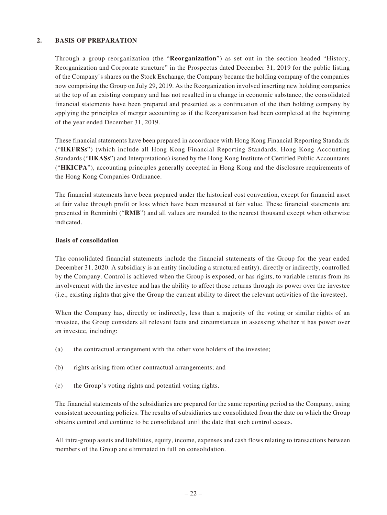#### **2. BASIS OF PREPARATION**

Through a group reorganization (the "**Reorganization**") as set out in the section headed "History, Reorganization and Corporate structure" in the Prospectus dated December 31, 2019 for the public listing of the Company's shares on the Stock Exchange, the Company became the holding company of the companies now comprising the Group on July 29, 2019. As the Reorganization involved inserting new holding companies at the top of an existing company and has not resulted in a change in economic substance, the consolidated financial statements have been prepared and presented as a continuation of the then holding company by applying the principles of merger accounting as if the Reorganization had been completed at the beginning of the year ended December 31, 2019.

These financial statements have been prepared in accordance with Hong Kong Financial Reporting Standards ("**HKFRSs**") (which include all Hong Kong Financial Reporting Standards, Hong Kong Accounting Standards ("**HKASs**") and Interpretations) issued by the Hong Kong Institute of Certified Public Accountants ("**HKICPA**"), accounting principles generally accepted in Hong Kong and the disclosure requirements of the Hong Kong Companies Ordinance.

The financial statements have been prepared under the historical cost convention, except for financial asset at fair value through profit or loss which have been measured at fair value. These financial statements are presented in Renminbi ("**RMB**") and all values are rounded to the nearest thousand except when otherwise indicated.

#### **Basis of consolidation**

The consolidated financial statements include the financial statements of the Group for the year ended December 31, 2020. A subsidiary is an entity (including a structured entity), directly or indirectly, controlled by the Company. Control is achieved when the Group is exposed, or has rights, to variable returns from its involvement with the investee and has the ability to affect those returns through its power over the investee (i.e., existing rights that give the Group the current ability to direct the relevant activities of the investee).

When the Company has, directly or indirectly, less than a majority of the voting or similar rights of an investee, the Group considers all relevant facts and circumstances in assessing whether it has power over an investee, including:

- (a) the contractual arrangement with the other vote holders of the investee;
- (b) rights arising from other contractual arrangements; and
- (c) the Group's voting rights and potential voting rights.

The financial statements of the subsidiaries are prepared for the same reporting period as the Company, using consistent accounting policies. The results of subsidiaries are consolidated from the date on which the Group obtains control and continue to be consolidated until the date that such control ceases.

All intra-group assets and liabilities, equity, income, expenses and cash flows relating to transactions between members of the Group are eliminated in full on consolidation.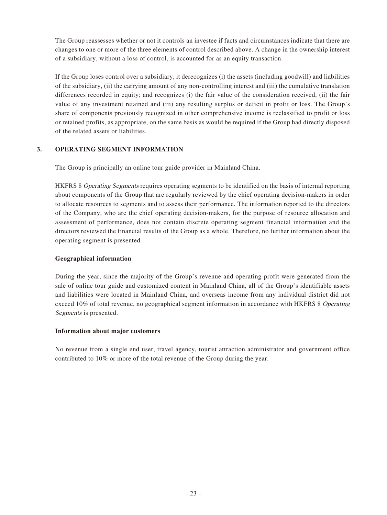The Group reassesses whether or not it controls an investee if facts and circumstances indicate that there are changes to one or more of the three elements of control described above. A change in the ownership interest of a subsidiary, without a loss of control, is accounted for as an equity transaction.

If the Group loses control over a subsidiary, it derecognizes (i) the assets (including goodwill) and liabilities of the subsidiary, (ii) the carrying amount of any non-controlling interest and (iii) the cumulative translation differences recorded in equity; and recognizes (i) the fair value of the consideration received, (ii) the fair value of any investment retained and (iii) any resulting surplus or deficit in profit or loss. The Group's share of components previously recognized in other comprehensive income is reclassified to profit or loss or retained profits, as appropriate, on the same basis as would be required if the Group had directly disposed of the related assets or liabilities.

#### **3. OPERATING SEGMENT INFORMATION**

The Group is principally an online tour guide provider in Mainland China.

HKFRS 8 Operating Segments requires operating segments to be identified on the basis of internal reporting about components of the Group that are regularly reviewed by the chief operating decision-makers in order to allocate resources to segments and to assess their performance. The information reported to the directors of the Company, who are the chief operating decision-makers, for the purpose of resource allocation and assessment of performance, does not contain discrete operating segment financial information and the directors reviewed the financial results of the Group as a whole. Therefore, no further information about the operating segment is presented.

#### **Geographical information**

During the year, since the majority of the Group's revenue and operating profit were generated from the sale of online tour guide and customized content in Mainland China, all of the Group's identifiable assets and liabilities were located in Mainland China, and overseas income from any individual district did not exceed 10% of total revenue, no geographical segment information in accordance with HKFRS 8 Operating Segments is presented.

#### **Information about major customers**

No revenue from a single end user, travel agency, tourist attraction administrator and government office contributed to 10% or more of the total revenue of the Group during the year.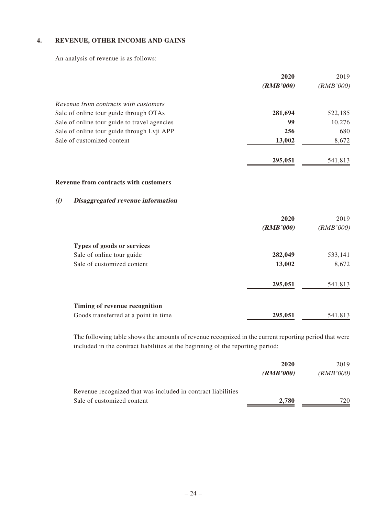### **4. REVENUE, OTHER INCOME AND GAINS**

An analysis of revenue is as follows:

|                                              | 2020      | 2019      |
|----------------------------------------------|-----------|-----------|
|                                              | (RMB'000) | (RMB'000) |
| Revenue from contracts with customers        |           |           |
| Sale of online tour guide through OTAs       | 281,694   | 522,185   |
| Sale of online tour guide to travel agencies | 99        | 10,276    |
| Sale of online tour guide through Lvji APP   | 256       | 680       |
| Sale of customized content                   | 13,002    | 8,672     |
|                                              | 295,051   | 541,813   |
| <b>Revenue from contracts with customers</b> |           |           |
| (i)<br>Disaggregated revenue information     |           |           |
|                                              | 2020      | 2019      |
|                                              | (RMB'000) | (RMB'000) |
| Types of goods or services                   |           |           |
| Sale of online tour guide                    | 282,049   | 533,141   |
| Sale of customized content                   | 13,002    | 8,672     |
|                                              | 295,051   | 541,813   |
| Timing of revenue recognition                |           |           |
| Goods transferred at a point in time         | 295,051   | 541,813   |

The following table shows the amounts of revenue recognized in the current reporting period that were included in the contract liabilities at the beginning of the reporting period:

|                                                              | 2020      | 2019      |
|--------------------------------------------------------------|-----------|-----------|
|                                                              | (RMB'000) | (RMB'000) |
| Revenue recognized that was included in contract liabilities |           |           |
| Sale of customized content                                   | 2,780     | 720       |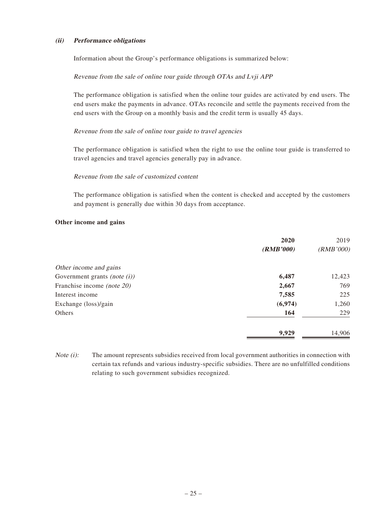#### **(ii) Performance obligations**

Information about the Group's performance obligations is summarized below:

#### Revenue from the sale of online tour guide through OTAs and Lvji APP

The performance obligation is satisfied when the online tour guides are activated by end users. The end users make the payments in advance. OTAs reconcile and settle the payments received from the end users with the Group on a monthly basis and the credit term is usually 45 days.

#### Revenue from the sale of online tour guide to travel agencies

The performance obligation is satisfied when the right to use the online tour guide is transferred to travel agencies and travel agencies generally pay in advance.

#### Revenue from the sale of customized content

The performance obligation is satisfied when the content is checked and accepted by the customers and payment is generally due within 30 days from acceptance.

#### **Other income and gains**

|                                   | 2020      | 2019      |
|-----------------------------------|-----------|-----------|
|                                   | (RMB'000) | (RMB'000) |
| Other income and gains            |           |           |
| Government grants (note $(i)$ )   | 6,487     | 12,423    |
| Franchise income <i>(note 20)</i> | 2,667     | 769       |
| Interest income                   | 7,585     | 225       |
| Exchange (loss)/gain              | (6,974)   | 1,260     |
| Others                            | 164       | 229       |
|                                   | 9,929     | 14,906    |

Note (i): The amount represents subsidies received from local government authorities in connection with certain tax refunds and various industry-specific subsidies. There are no unfulfilled conditions relating to such government subsidies recognized.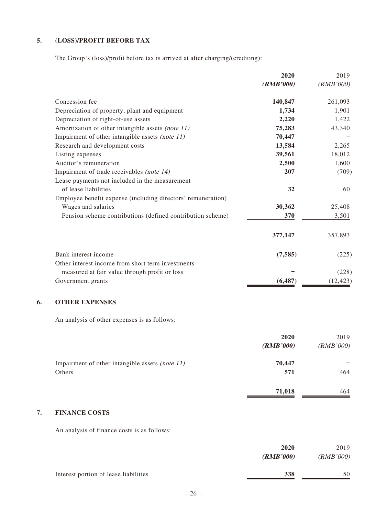### **5. (LOSS)/PROFIT BEFORE TAX**

The Group's (loss)/profit before tax is arrived at after charging/(crediting):

|                                                              | 2020      | 2019      |
|--------------------------------------------------------------|-----------|-----------|
|                                                              | (RMB'000) | (RMB'000) |
| Concession fee                                               | 140,847   | 261,093   |
| Depreciation of property, plant and equipment                | 1,734     | 1,901     |
| Depreciation of right-of-use assets                          | 2,220     | 1,422     |
| Amortization of other intangible assets (note 11)            | 75,283    | 43,340    |
| Impairment of other intangible assets (note 11)              | 70,447    |           |
| Research and development costs                               | 13,584    | 2,265     |
| Listing expenses                                             | 39,561    | 18,012    |
| Auditor's remuneration                                       | 2,500     | 1,600     |
| Impairment of trade receivables (note 14)                    | 207       | (709)     |
| Lease payments not included in the measurement               |           |           |
| of lease liabilities                                         | 32        | 60        |
| Employee benefit expense (including directors' remuneration) |           |           |
| Wages and salaries                                           | 30,362    | 25,408    |
| Pension scheme contributions (defined contribution scheme)   | 370       | 3,501     |
|                                                              | 377,147   | 357,893   |
| Bank interest income                                         | (7, 585)  | (225)     |
| Other interest income from short term investments            |           |           |
| measured at fair value through profit or loss                |           | (228)     |
| Government grants                                            | (6, 487)  | (12, 423) |

### **6. OTHER EXPENSES**

An analysis of other expenses is as follows:

|                                                 | 2020      | 2019      |
|-------------------------------------------------|-----------|-----------|
|                                                 | (RMB'000) | (RMB'000) |
| Impairment of other intangible assets (note 11) | 70,447    |           |
| Others                                          | 571       | 464       |
|                                                 | 71,018    | 464       |

#### **7. FINANCE COSTS**

An analysis of finance costs is as follows:

|                                       | 2020<br>(RMB'000) | 2019<br>(RMB'000) |
|---------------------------------------|-------------------|-------------------|
| Interest portion of lease liabilities | 338               | 50                |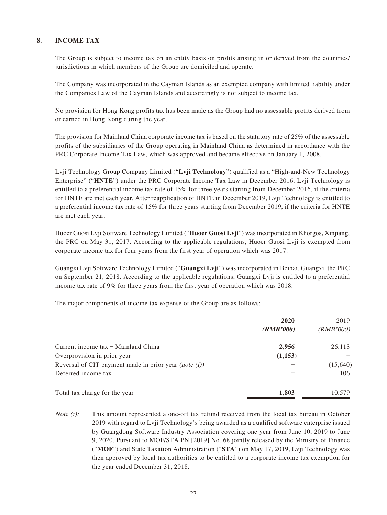#### **8. INCOME TAX**

The Group is subject to income tax on an entity basis on profits arising in or derived from the countries/ jurisdictions in which members of the Group are domiciled and operate.

The Company was incorporated in the Cayman Islands as an exempted company with limited liability under the Companies Law of the Cayman Islands and accordingly is not subject to income tax.

No provision for Hong Kong profits tax has been made as the Group had no assessable profits derived from or earned in Hong Kong during the year.

The provision for Mainland China corporate income tax is based on the statutory rate of 25% of the assessable profits of the subsidiaries of the Group operating in Mainland China as determined in accordance with the PRC Corporate Income Tax Law, which was approved and became effective on January 1, 2008.

Lvji Technology Group Company Limited ("**Lvji Technology**") qualified as a "High-and-New Technology Enterprise" ("**HNTE**") under the PRC Corporate Income Tax Law in December 2016. Lvji Technology is entitled to a preferential income tax rate of 15% for three years starting from December 2016, if the criteria for HNTE are met each year. After reapplication of HNTE in December 2019, Lvji Technology is entitled to a preferential income tax rate of 15% for three years starting from December 2019, if the criteria for HNTE are met each year.

Huoer Guosi Lvji Software Technology Limited ("**Huoer Guosi Lvji**") was incorporated in Khorgos, Xinjiang, the PRC on May 31, 2017. According to the applicable regulations, Huoer Guosi Lvji is exempted from corporate income tax for four years from the first year of operation which was 2017.

Guangxi Lvji Software Technology Limited ("**Guangxi Lvji**") was incorporated in Beihai, Guangxi, the PRC on September 21, 2018. According to the applicable regulations, Guangxi Lvji is entitled to a preferential income tax rate of 9% for three years from the first year of operation which was 2018.

The major components of income tax expense of the Group are as follows:

|                                                          | 2020<br>(RMB'000) | 2019<br>(RMB'000) |
|----------------------------------------------------------|-------------------|-------------------|
| Current income $tax$ – Mainland China                    | 2,956             | 26,113            |
| Overprovision in prior year                              | (1,153)           |                   |
| Reversal of CIT payment made in prior year (note $(i)$ ) |                   | (15, 640)         |
| Deferred income tax                                      |                   | 106               |
| Total tax charge for the year                            | 1,803             | 10,579            |

Note (i): This amount represented a one-off tax refund received from the local tax bureau in October 2019 with regard to Lvji Technology's being awarded as a qualified software enterprise issued by Guangdong Software Industry Association covering one year from June 10, 2019 to June 9, 2020. Pursuant to MOF/STA PN [2019] No. 68 jointly released by the Ministry of Finance ("**MOF**") and State Taxation Administration ("**STA**") on May 17, 2019, Lvji Technology was then approved by local tax authorities to be entitled to a corporate income tax exemption for the year ended December 31, 2018.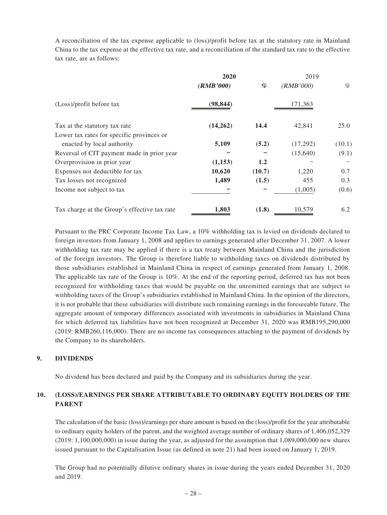A reconciliation of the tax expense applicable to (loss)/profit before tax at the statutory rate in Mainland China to the tax expense at the effective tax rate, and a reconciliation of the standard tax rate to the effective tax rate, are as follows:

|                                              | 2020      |        | 2019      |        |
|----------------------------------------------|-----------|--------|-----------|--------|
|                                              | (RMB'000) | %      | (RMB'000) | %      |
| (Loss)/profit before tax                     | (98, 844) |        | 171,363   |        |
| Tax at the statutory tax rate                | (14,262)  | 14.4   | 42,841    | 25.0   |
| Lower tax rates for specific provinces or    |           |        |           |        |
| enacted by local authority                   | 5,109     | (5.2)  | (17,292)  | (10.1) |
| Reversal of CIT payment made in prior year   |           |        | (15,640)  | (9.1)  |
| Overprovision in prior year                  | (1,153)   | 1.2    |           |        |
| Expenses not deductible for tax              | 10,620    | (10.7) | 1,220     | 0.7    |
| Tax losses not recognized                    | 1,489     | (1.5)  | 455       | 0.3    |
| Income not subject to tax                    |           |        | (1,005)   | (0.6)  |
| Tax charge at the Group's effective tax rate | 1,803     | (1.8)  | 10,579    | 6.2    |

Pursuant to the PRC Corporate Income Tax Law, a 10% withholding tax is levied on dividends declared to foreign investors from January 1, 2008 and applies to earnings generated after December 31, 2007. A lower withholding tax rate may be applied if there is a tax treaty between Mainland China and the jurisdiction of the foreign investors. The Group is therefore liable to withholding taxes on dividends distributed by those subsidiaries established in Mainland China in respect of earnings generated from January 1, 2008. The applicable tax rate of the Group is 10%. At the end of the reporting period, deferred tax has not been recognized for withholding taxes that would be payable on the unremitted earnings that are subject to withholding taxes of the Group's subsidiaries established in Mainland China. In the opinion of the directors, it is not probable that these subsidiaries will distribute such remaining earnings in the foreseeable future. The aggregate amount of temporary differences associated with investments in subsidiaries in Mainland China for which deferred tax liabilities have not been recognized at December 31, 2020 was RMB195,290,000 (2019: RMB260,116,000). There are no income tax consequences attaching to the payment of dividends by the Company to its shareholders.

#### **9. DIVIDENDS**

No dividend has been declared and paid by the Company and its subsidiaries during the year.

#### **10. (LOSS)/EARNINGS PER SHARE ATTRIBUTABLE TO ORDINARY EQUITY HOLDERS OF THE PARENT**

The calculation of the basic (loss)/earnings per share amount is based on the (loss)/profit for the year attributable to ordinary equity holders of the parent, and the weighted average number of ordinary shares of 1,406,052,329 (2019: 1,100,000,000) in issue during the year, as adjusted for the assumption that 1,089,000,000 new shares issued pursuant to the Capitalisation Issue (as defined in note 21) had been issued on January 1, 2019.

The Group had no potentially dilutive ordinary shares in issue during the years ended December 31, 2020 and 2019.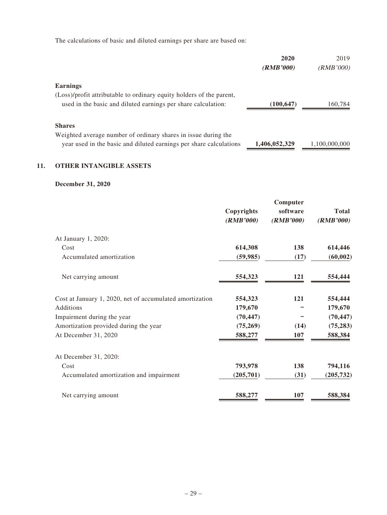The calculations of basic and diluted earnings per share are based on:

|                                                                      | 2020<br>(RMB'000) | 2019<br>(RMB'000) |
|----------------------------------------------------------------------|-------------------|-------------------|
| Earnings                                                             |                   |                   |
| (Loss)/profit attributable to ordinary equity holders of the parent, |                   |                   |
| used in the basic and diluted earnings per share calculation:        | (100, 647)        | 160,784           |
| <b>Shares</b>                                                        |                   |                   |
| Weighted average number of ordinary shares in issue during the       |                   |                   |
| year used in the basic and diluted earnings per share calculations   | 1,406,052,329     | 1,100,000,000     |

# **11. OTHER INTANGIBLE ASSETS**

### **December 31, 2020**

|                                                          | Copyrights<br>(RMB'000) | Computer<br>software<br>(RMB'000) | <b>Total</b><br>(RMB'000) |
|----------------------------------------------------------|-------------------------|-----------------------------------|---------------------------|
| At January 1, 2020:                                      |                         |                                   |                           |
| Cost                                                     | 614,308                 | 138                               | 614,446                   |
| Accumulated amortization                                 | (59, 985)               | (17)                              | (60, 002)                 |
| Net carrying amount                                      | 554,323                 | 121                               | 554,444                   |
| Cost at January 1, 2020, net of accumulated amortization | 554,323                 | 121                               | 554,444                   |
| Additions                                                | 179,670                 |                                   | 179,670                   |
| Impairment during the year                               | (70, 447)               |                                   | (70, 447)                 |
| Amortization provided during the year                    | (75,269)                | (14)                              | (75, 283)                 |
| At December 31, 2020                                     | 588,277                 | 107                               | 588,384                   |
| At December 31, 2020:                                    |                         |                                   |                           |
| Cost                                                     | 793,978                 | 138                               | 794,116                   |
| Accumulated amortization and impairment                  | (205, 701)              | (31)                              | (205, 732)                |
| Net carrying amount                                      | 588,277                 | 107                               | 588,384                   |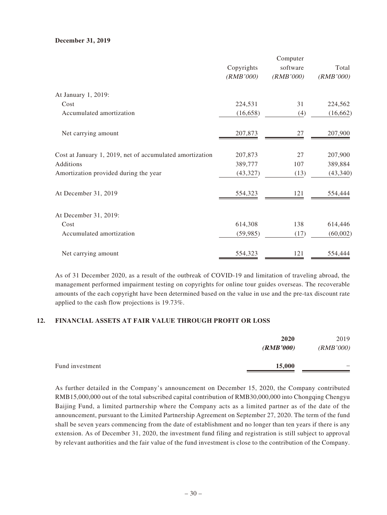#### **December 31, 2019**

|                                                          |            | Computer  |           |
|----------------------------------------------------------|------------|-----------|-----------|
|                                                          | Copyrights | software  | Total     |
|                                                          | (RMB'000)  | (RMB'000) | (RMB'000) |
| At January 1, 2019:                                      |            |           |           |
| Cost                                                     | 224,531    | 31        | 224,562   |
| Accumulated amortization                                 | (16, 658)  | (4)       | (16, 662) |
| Net carrying amount                                      | 207,873    | 27        | 207,900   |
| Cost at January 1, 2019, net of accumulated amortization | 207,873    | 27        | 207,900   |
| Additions                                                | 389,777    | 107       | 389,884   |
| Amortization provided during the year                    | (43, 327)  | (13)      | (43, 340) |
| At December 31, 2019                                     | 554,323    | 121       | 554,444   |
| At December 31, 2019:                                    |            |           |           |
| Cost                                                     | 614,308    | 138       | 614,446   |
| Accumulated amortization                                 | (59, 985)  | (17)      | (60,002)  |
| Net carrying amount                                      | 554,323    | 121       | 554,444   |

As of 31 December 2020, as a result of the outbreak of COVID-19 and limitation of traveling abroad, the management performed impairment testing on copyrights for online tour guides overseas. The recoverable amounts of the each copyright have been determined based on the value in use and the pre-tax discount rate applied to the cash flow projections is 19.73%.

#### **12. FINANCIAL ASSETS AT FAIR VALUE THROUGH PROFIT OR LOSS**

|                 | 2020<br>(RMB'000) | 2019<br>(RMB'000)        |
|-----------------|-------------------|--------------------------|
| Fund investment | 15,000            | $\overline{\phantom{0}}$ |

As further detailed in the Company's announcement on December 15, 2020, the Company contributed RMB15,000,000 out of the total subscribed capital contribution of RMB30,000,000 into Chongqing Chengyu Baijing Fund, a limited partnership where the Company acts as a limited partner as of the date of the announcement, pursuant to the Limited Partnership Agreement on September 27, 2020. The term of the fund shall be seven years commencing from the date of establishment and no longer than ten years if there is any extension. As of December 31, 2020, the investment fund filing and registration is still subject to approval by relevant authorities and the fair value of the fund investment is close to the contribution of the Company.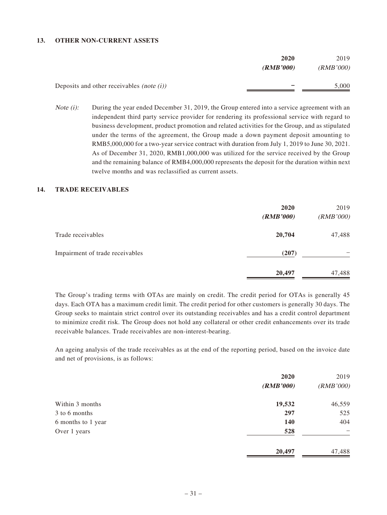#### **13. OTHER NON-CURRENT ASSETS**

|                                                               | 2020      | 2019      |
|---------------------------------------------------------------|-----------|-----------|
|                                                               | (RMB'000) | (RMB'000) |
| Deposits and other receivables <i>(note <math>(i)</math>)</i> | -         | 5,000     |

*Note (i):* During the year ended December 31, 2019, the Group entered into a service agreement with an independent third party service provider for rendering its professional service with regard to business development, product promotion and related activities for the Group, and as stipulated under the terms of the agreement, the Group made a down payment deposit amounting to RMB5,000,000 for a two-year service contract with duration from July 1, 2019 to June 30, 2021. As of December 31, 2020, RMB1,000,000 was utilized for the service received by the Group and the remaining balance of RMB4,000,000 represents the deposit for the duration within next twelve months and was reclassified as current assets.

#### **14. TRADE RECEIVABLES**

|                                 | 2020<br>(RMB'000) | 2019<br>(RMB'000) |
|---------------------------------|-------------------|-------------------|
| Trade receivables               | 20,704            | 47,488            |
| Impairment of trade receivables | (207)             |                   |
|                                 | 20,497            | 47,488            |

The Group's trading terms with OTAs are mainly on credit. The credit period for OTAs is generally 45 days. Each OTA has a maximum credit limit. The credit period for other customers is generally 30 days. The Group seeks to maintain strict control over its outstanding receivables and has a credit control department to minimize credit risk. The Group does not hold any collateral or other credit enhancements over its trade receivable balances. Trade receivables are non-interest-bearing.

An ageing analysis of the trade receivables as at the end of the reporting period, based on the invoice date and net of provisions, is as follows:

|                    | 2020      | 2019      |
|--------------------|-----------|-----------|
|                    | (RMB'000) | (RMB'000) |
| Within 3 months    | 19,532    | 46,559    |
| 3 to 6 months      | 297       | 525       |
| 6 months to 1 year | 140       | 404       |
| Over 1 years       | 528       |           |
|                    | 20,497    | 47,488    |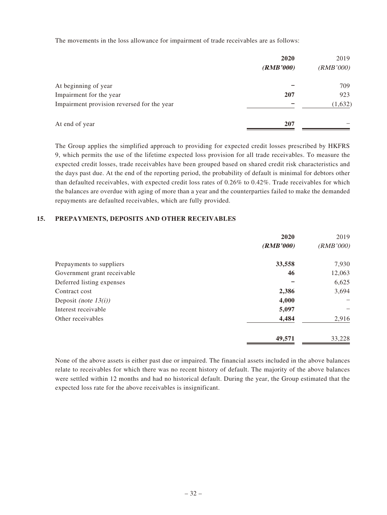The movements in the loss allowance for impairment of trade receivables are as follows:

|                                            | 2020<br>(RMB'000) | 2019<br>(RMB'000) |
|--------------------------------------------|-------------------|-------------------|
| At beginning of year                       |                   | 709               |
| Impairment for the year                    | 207               | 923               |
| Impairment provision reversed for the year |                   | (1, 632)          |
| At end of year                             | 207               |                   |

The Group applies the simplified approach to providing for expected credit losses prescribed by HKFRS 9, which permits the use of the lifetime expected loss provision for all trade receivables. To measure the expected credit losses, trade receivables have been grouped based on shared credit risk characteristics and the days past due. At the end of the reporting period, the probability of default is minimal for debtors other than defaulted receivables, with expected credit loss rates of 0.26% to 0.42%. Trade receivables for which the balances are overdue with aging of more than a year and the counterparties failed to make the demanded repayments are defaulted receivables, which are fully provided.

#### **15. PREPAYMENTS, DEPOSITS AND OTHER RECEIVABLES**

|                             | 2020      | 2019      |
|-----------------------------|-----------|-----------|
|                             | (RMB'000) | (RMB'000) |
| Prepayments to suppliers    | 33,558    | 7,930     |
| Government grant receivable | 46        | 12,063    |
| Deferred listing expenses   |           | 6,625     |
| Contract cost               | 2,386     | 3,694     |
| Deposit (note $13(i)$ )     | 4,000     |           |
| Interest receivable         | 5,097     |           |
| Other receivables           | 4,484     | 2,916     |
|                             | 49,571    | 33,228    |

None of the above assets is either past due or impaired. The financial assets included in the above balances relate to receivables for which there was no recent history of default. The majority of the above balances were settled within 12 months and had no historical default. During the year, the Group estimated that the expected loss rate for the above receivables is insignificant.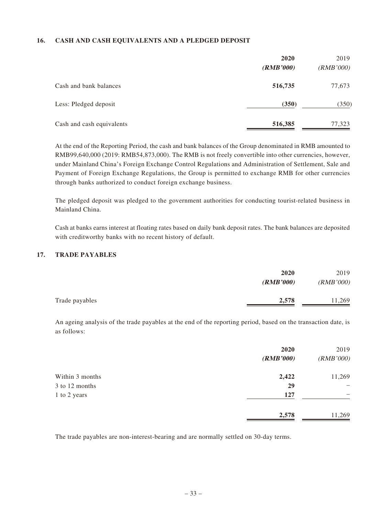#### **16. CASH AND CASH EQUIVALENTS AND A PLEDGED DEPOSIT**

|                           | 2020<br>(RMB'000) | 2019<br>(RMB'000) |
|---------------------------|-------------------|-------------------|
| Cash and bank balances    | 516,735           | 77,673            |
| Less: Pledged deposit     | (350)             | (350)             |
| Cash and cash equivalents | 516,385           | 77,323            |

At the end of the Reporting Period, the cash and bank balances of the Group denominated in RMB amounted to RMB99,640,000 (2019: RMB54,873,000). The RMB is not freely convertible into other currencies, however, under Mainland China's Foreign Exchange Control Regulations and Administration of Settlement, Sale and Payment of Foreign Exchange Regulations, the Group is permitted to exchange RMB for other currencies through banks authorized to conduct foreign exchange business.

The pledged deposit was pledged to the government authorities for conducting tourist-related business in Mainland China.

Cash at banks earns interest at floating rates based on daily bank deposit rates. The bank balances are deposited with creditworthy banks with no recent history of default.

#### **17. TRADE PAYABLES**

|                | 2020      | 2019      |
|----------------|-----------|-----------|
|                | (RMB'000) | (RMB'000) |
| Trade payables | 2,578     | 11,269    |

An ageing analysis of the trade payables at the end of the reporting period, based on the transaction date, is as follows:

|                 | 2020<br>(RMB'000) | 2019<br>(RMB'000) |
|-----------------|-------------------|-------------------|
|                 |                   |                   |
| Within 3 months | 2,422             | 11,269            |
| 3 to 12 months  | 29                | -                 |
| 1 to 2 years    | 127               |                   |
|                 | 2,578             | 11,269            |

The trade payables are non-interest-bearing and are normally settled on 30-day terms.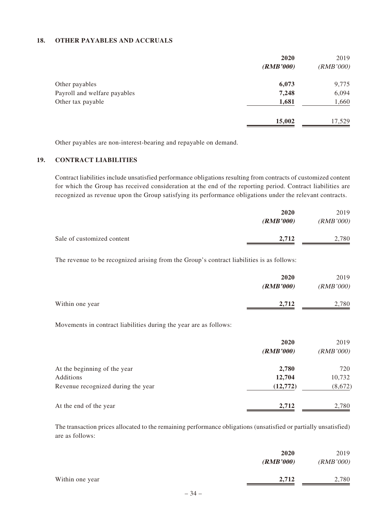#### **18. OTHER PAYABLES AND ACCRUALS**

|                              | 2020      | 2019      |
|------------------------------|-----------|-----------|
|                              | (RMB'000) | (RMB'000) |
| Other payables               | 6,073     | 9,775     |
| Payroll and welfare payables | 7,248     | 6,094     |
| Other tax payable            | 1,681     | 1,660     |
|                              | 15,002    | 17,529    |

Other payables are non-interest-bearing and repayable on demand.

#### **19. CONTRACT LIABILITIES**

Contract liabilities include unsatisfied performance obligations resulting from contracts of customized content for which the Group has received consideration at the end of the reporting period. Contract liabilities are recognized as revenue upon the Group satisfying its performance obligations under the relevant contracts.

|                            | 2020      | 2019      |
|----------------------------|-----------|-----------|
|                            | (RMB'000) | (RMB'000) |
| Sale of customized content | 2.712     | 2,780     |

The revenue to be recognized arising from the Group's contract liabilities is as follows:

|                 | 2020<br>(RMB'000) | 2019<br>(RMB'000) |
|-----------------|-------------------|-------------------|
| Within one year | 2,712             | 2,780             |

Movements in contract liabilities during the year are as follows:

|                                    | 2020<br>(RMB'000) | 2019<br>(RMB'000) |
|------------------------------------|-------------------|-------------------|
| At the beginning of the year       | 2,780             | 720               |
| Additions                          | 12,704            | 10,732            |
| Revenue recognized during the year | (12,772)          | (8,672)           |
| At the end of the year             | 2,712             | 2,780             |

The transaction prices allocated to the remaining performance obligations (unsatisfied or partially unsatisfied) are as follows:

| 2020      | 2019      |
|-----------|-----------|
| (RMB'000) | (RMB'000) |
| 2,712     | 2,780     |
|           |           |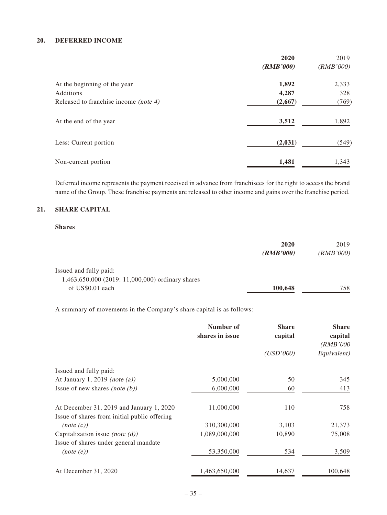#### **20. DEFERRED INCOME**

|                                       | 2020      | 2019      |
|---------------------------------------|-----------|-----------|
|                                       | (RMB'000) | (RMB'000) |
| At the beginning of the year          | 1,892     | 2,333     |
| Additions                             | 4,287     | 328       |
| Released to franchise income (note 4) | (2,667)   | (769)     |
| At the end of the year                | 3,512     | 1,892     |
| Less: Current portion                 | (2,031)   | (549)     |
| Non-current portion                   | 1,481     | 1,343     |

Deferred income represents the payment received in advance from franchisees for the right to access the brand name of the Group. These franchise payments are released to other income and gains over the franchise period.

#### **21. SHARE CAPITAL**

#### **Shares**

|                                                                            | 2020<br>(RMB'000) | 2019<br>(RMB'000) |
|----------------------------------------------------------------------------|-------------------|-------------------|
| Issued and fully paid:<br>1,463,650,000 (2019: 11,000,000) ordinary shares |                   |                   |
| of US\$0.01 each                                                           | 100,648           | 758               |

A summary of movements in the Company's share capital is as follows:

|                                              | Number of<br>shares in issue | <b>Share</b><br>capital | <b>Share</b><br>capital<br>(RMB'000 |
|----------------------------------------------|------------------------------|-------------------------|-------------------------------------|
|                                              |                              | (USD'000)               | Equivalent)                         |
| Issued and fully paid:                       |                              |                         |                                     |
| At January 1, 2019 (note $(a)$ )             | 5,000,000                    | 50                      | 345                                 |
| Issue of new shares (note $(b)$ )            | 6,000,000                    | 60                      | 413                                 |
| At December 31, 2019 and January 1, 2020     | 11,000,000                   | 110                     | 758                                 |
| Issue of shares from initial public offering |                              |                         |                                     |
| (note (c))                                   | 310,300,000                  | 3,103                   | 21,373                              |
| Capitalization issue (note $(d)$ )           | 1,089,000,000                | 10,890                  | 75,008                              |
| Issue of shares under general mandate        |                              |                         |                                     |
| (note (e))                                   | 53,350,000                   | 534                     | 3,509                               |
| At December 31, 2020                         | 1,463,650,000                | 14,637                  | 100,648                             |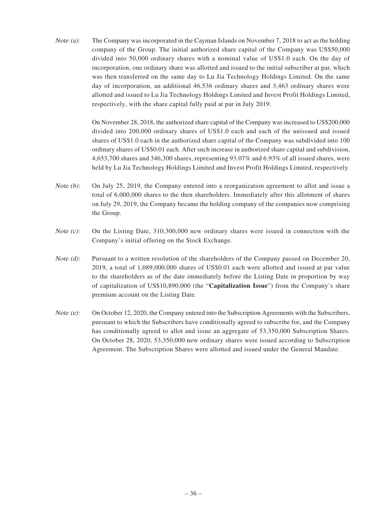Note (a): The Company was incorporated in the Cayman Islands on November 7, 2018 to act as the holding company of the Group. The initial authorized share capital of the Company was US\$50,000 divided into 50,000 ordinary shares with a nominal value of US\$1.0 each. On the day of incorporation, one ordinary share was allotted and issued to the initial subscriber at par, which was then transferred on the same day to Lu Jia Technology Holdings Limited. On the same day of incorporation, an additional 46,536 ordinary shares and 3,463 ordinary shares were allotted and issued to Lu Jia Technology Holdings Limited and Invest Profit Holdings Limited, respectively, with the share capital fully paid at par in July 2019.

> On November 28, 2018, the authorized share capital of the Company was increased to US\$200,000 divided into 200,000 ordinary shares of US\$1.0 each and each of the unissued and issued shares of US\$1.0 each in the authorized share capital of the Company was subdivided into 100 ordinary shares of US\$0.01 each. After such increase in authorized share capital and subdivision, 4,653,700 shares and 346,300 shares, representing 93.07% and 6.93% of all issued shares, were held by Lu Jia Technology Holdings Limited and Invest Profit Holdings Limited, respectively.

- Note (b): On July 25, 2019, the Company entered into a reorganization agreement to allot and issue a total of 6,000,000 shares to the then shareholders. Immediately after this allotment of shares on July 29, 2019, the Company became the holding company of the companies now comprising the Group.
- Note (c): On the Listing Date, 310,300,000 new ordinary shares were issued in connection with the Company's initial offering on the Stock Exchange.
- Note (d): Pursuant to a written resolution of the shareholders of the Company passed on December 20, 2019, a total of 1,089,000,000 shares of US\$0.01 each were allotted and issued at par value to the shareholders as of the date immediately before the Listing Date in proportion by way of capitalization of US\$10,890,000 (the "**Capitalization Issue**") from the Company's share premium account on the Listing Date.
- Note (e): On October 12, 2020, the Company entered into the Subscription Agreements with the Subscribers, pursuant to which the Subscribers have conditionally agreed to subscribe for, and the Company has conditionally agreed to allot and issue an aggregate of 53,350,000 Subscription Shares. On October 28, 2020, 53,350,000 new ordinary shares were issued according to Subscription Agreement. The Subscription Shares were allotted and issued under the General Mandate.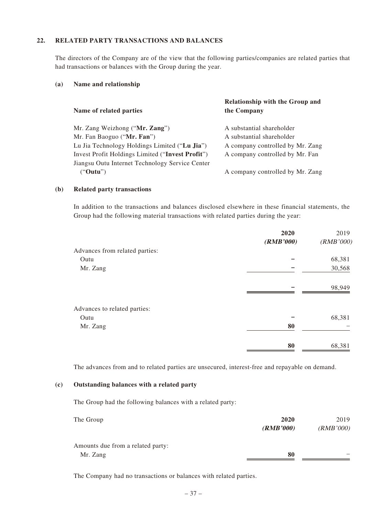#### **22. RELATED PARTY TRANSACTIONS AND BALANCES**

The directors of the Company are of the view that the following parties/companies are related parties that had transactions or balances with the Group during the year.

#### **(a) Name and relationship**

| Name of related parties                          | <b>Relationship with the Group and</b><br>the Company |
|--------------------------------------------------|-------------------------------------------------------|
| Mr. Zang Weizhong ("Mr. Zang")                   | A substantial shareholder                             |
| Mr. Fan Baoguo ("Mr. Fan")                       | A substantial shareholder                             |
| Lu Jia Technology Holdings Limited ("Lu Jia")    | A company controlled by Mr. Zang                      |
| Invest Profit Holdings Limited ("Invest Profit") | A company controlled by Mr. Fan                       |
| Jiangsu Outu Internet Technology Service Center  |                                                       |
| ("Outu")                                         | A company controlled by Mr. Zang                      |

#### **(b) Related party transactions**

In addition to the transactions and balances disclosed elsewhere in these financial statements, the Group had the following material transactions with related parties during the year:

| 2020      | 2019      |
|-----------|-----------|
| (RMB'000) | (RMB'000) |
|           |           |
|           | 68,381    |
|           | 30,568    |
|           | 98,949    |
|           |           |
|           | 68,381    |
| 80        |           |
| 80        | 68,381    |
|           |           |

The advances from and to related parties are unsecured, interest-free and repayable on demand.

#### **(c) Outstanding balances with a related party**

The Group had the following balances with a related party:

| The Group                         | 2020      | 2019      |
|-----------------------------------|-----------|-----------|
|                                   | (RMB'000) | (RMB'000) |
| Amounts due from a related party: |           |           |
| Mr. Zang                          | 80        |           |

The Company had no transactions or balances with related parties.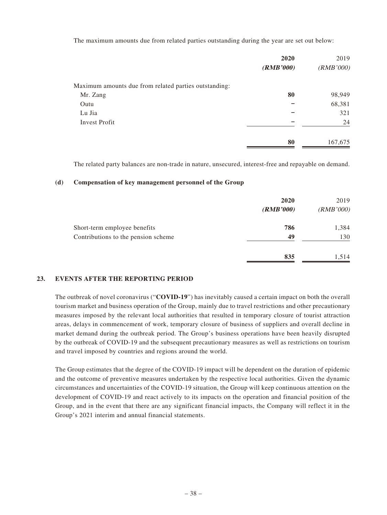The maximum amounts due from related parties outstanding during the year are set out below:

|                                                       | 2020      | 2019      |
|-------------------------------------------------------|-----------|-----------|
|                                                       | (RMB'000) | (RMB'000) |
| Maximum amounts due from related parties outstanding: |           |           |
| Mr. Zang                                              | 80        | 98,949    |
| Outu                                                  |           | 68,381    |
| Lu Jia                                                |           | 321       |
| <b>Invest Profit</b>                                  |           | 24        |
|                                                       | 80        | 167,675   |

The related party balances are non-trade in nature, unsecured, interest-free and repayable on demand.

#### **(d) Compensation of key management personnel of the Group**

|                                     | 2020<br>(RMB'000) | 2019<br>(RMB'000) |
|-------------------------------------|-------------------|-------------------|
| Short-term employee benefits        | 786               | 1,384             |
| Contributions to the pension scheme | 49                | 130               |
|                                     | 835               | 1,514             |

#### **23. EVENTS AFTER THE REPORTING PERIOD**

The outbreak of novel coronavirus ("**COVID-19**") has inevitably caused a certain impact on both the overall tourism market and business operation of the Group, mainly due to travel restrictions and other precautionary measures imposed by the relevant local authorities that resulted in temporary closure of tourist attraction areas, delays in commencement of work, temporary closure of business of suppliers and overall decline in market demand during the outbreak period. The Group's business operations have been heavily disrupted by the outbreak of COVID-19 and the subsequent precautionary measures as well as restrictions on tourism and travel imposed by countries and regions around the world.

The Group estimates that the degree of the COVID-19 impact will be dependent on the duration of epidemic and the outcome of preventive measures undertaken by the respective local authorities. Given the dynamic circumstances and uncertainties of the COVID-19 situation, the Group will keep continuous attention on the development of COVID-19 and react actively to its impacts on the operation and financial position of the Group, and in the event that there are any significant financial impacts, the Company will reflect it in the Group's 2021 interim and annual financial statements.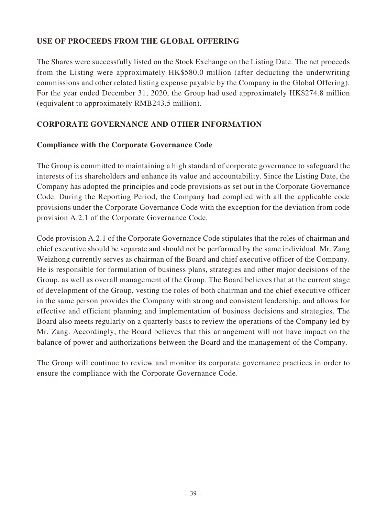# **USE OF PROCEEDS FROM THE GLOBAL OFFERING**

The Shares were successfully listed on the Stock Exchange on the Listing Date. The net proceeds from the Listing were approximately HK\$580.0 million (after deducting the underwriting commissions and other related listing expense payable by the Company in the Global Offering). For the year ended December 31, 2020, the Group had used approximately HK\$274.8 million (equivalent to approximately RMB243.5 million).

# **CORPORATE GOVERNANCE AND OTHER INFORMATION**

# **Compliance with the Corporate Governance Code**

The Group is committed to maintaining a high standard of corporate governance to safeguard the interests of its shareholders and enhance its value and accountability. Since the Listing Date, the Company has adopted the principles and code provisions as set out in the Corporate Governance Code. During the Reporting Period, the Company had complied with all the applicable code provisions under the Corporate Governance Code with the exception for the deviation from code provision A.2.1 of the Corporate Governance Code.

Code provision A.2.1 of the Corporate Governance Code stipulates that the roles of chairman and chief executive should be separate and should not be performed by the same individual. Mr. Zang Weizhong currently serves as chairman of the Board and chief executive officer of the Company. He is responsible for formulation of business plans, strategies and other major decisions of the Group, as well as overall management of the Group. The Board believes that at the current stage of development of the Group, vesting the roles of both chairman and the chief executive officer in the same person provides the Company with strong and consistent leadership, and allows for effective and efficient planning and implementation of business decisions and strategies. The Board also meets regularly on a quarterly basis to review the operations of the Company led by Mr. Zang. Accordingly, the Board believes that this arrangement will not have impact on the balance of power and authorizations between the Board and the management of the Company.

The Group will continue to review and monitor its corporate governance practices in order to ensure the compliance with the Corporate Governance Code.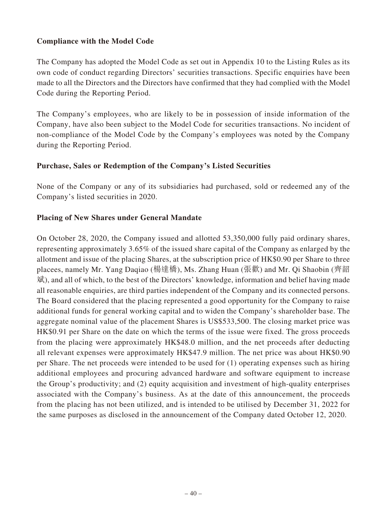# **Compliance with the Model Code**

The Company has adopted the Model Code as set out in Appendix 10 to the Listing Rules as its own code of conduct regarding Directors' securities transactions. Specific enquiries have been made to all the Directors and the Directors have confirmed that they had complied with the Model Code during the Reporting Period.

The Company's employees, who are likely to be in possession of inside information of the Company, have also been subject to the Model Code for securities transactions. No incident of non-compliance of the Model Code by the Company's employees was noted by the Company during the Reporting Period.

### **Purchase, Sales or Redemption of the Company's Listed Securities**

None of the Company or any of its subsidiaries had purchased, sold or redeemed any of the Company's listed securities in 2020.

### **Placing of New Shares under General Mandate**

On October 28, 2020, the Company issued and allotted 53,350,000 fully paid ordinary shares, representing approximately 3.65% of the issued share capital of the Company as enlarged by the allotment and issue of the placing Shares, at the subscription price of HK\$0.90 per Share to three placees, namely Mr. Yang Daqiao (楊達橋), Ms. Zhang Huan (張歡) and Mr. Qi Shaobin (齊韶 斌), and all of which, to the best of the Directors' knowledge, information and belief having made all reasonable enquiries, are third parties independent of the Company and its connected persons. The Board considered that the placing represented a good opportunity for the Company to raise additional funds for general working capital and to widen the Company's shareholder base. The aggregate nominal value of the placement Shares is US\$533,500. The closing market price was HK\$0.91 per Share on the date on which the terms of the issue were fixed. The gross proceeds from the placing were approximately HK\$48.0 million, and the net proceeds after deducting all relevant expenses were approximately HK\$47.9 million. The net price was about HK\$0.90 per Share. The net proceeds were intended to be used for (1) operating expenses such as hiring additional employees and procuring advanced hardware and software equipment to increase the Group's productivity; and (2) equity acquisition and investment of high-quality enterprises associated with the Company's business. As at the date of this announcement, the proceeds from the placing has not been utilized, and is intended to be utilised by December 31, 2022 for the same purposes as disclosed in the announcement of the Company dated October 12, 2020.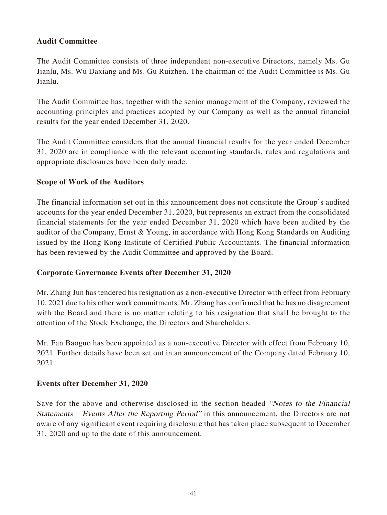# **Audit Committee**

The Audit Committee consists of three independent non-executive Directors, namely Ms. Gu Jianlu, Ms. Wu Daxiang and Ms. Gu Ruizhen. The chairman of the Audit Committee is Ms. Gu Jianlu.

The Audit Committee has, together with the senior management of the Company, reviewed the accounting principles and practices adopted by our Company as well as the annual financial results for the year ended December 31, 2020.

The Audit Committee considers that the annual financial results for the year ended December 31, 2020 are in compliance with the relevant accounting standards, rules and regulations and appropriate disclosures have been duly made.

# **Scope of Work of the Auditors**

The financial information set out in this announcement does not constitute the Group's audited accounts for the year ended December 31, 2020, but represents an extract from the consolidated financial statements for the year ended December 31, 2020 which have been audited by the auditor of the Company, Ernst & Young, in accordance with Hong Kong Standards on Auditing issued by the Hong Kong Institute of Certified Public Accountants. The financial information has been reviewed by the Audit Committee and approved by the Board.

# **Corporate Governance Events after December 31, 2020**

Mr. Zhang Jun has tendered his resignation as a non-executive Director with effect from February 10, 2021 due to his other work commitments. Mr. Zhang has confirmed that he has no disagreement with the Board and there is no matter relating to his resignation that shall be brought to the attention of the Stock Exchange, the Directors and Shareholders.

Mr. Fan Baoguo has been appointed as a non-executive Director with effect from February 10, 2021. Further details have been set out in an announcement of the Company dated February 10, 2021.

# **Events after December 31, 2020**

Save for the above and otherwise disclosed in the section headed "Notes to the Financial" Statements – Events After the Reporting Period" in this announcement, the Directors are not aware of any significant event requiring disclosure that has taken place subsequent to December 31, 2020 and up to the date of this announcement.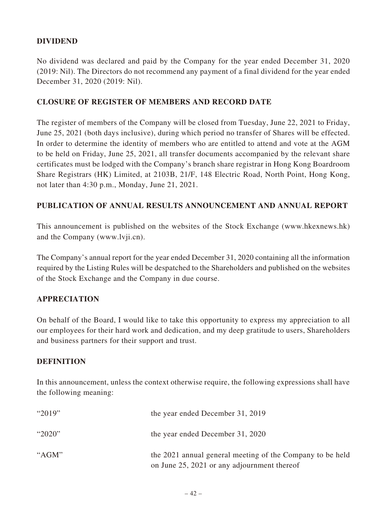# **DIVIDEND**

No dividend was declared and paid by the Company for the year ended December 31, 2020 (2019: Nil). The Directors do not recommend any payment of a final dividend for the year ended December 31, 2020 (2019: Nil).

# **CLOSURE OF REGISTER OF MEMBERS AND RECORD DATE**

The register of members of the Company will be closed from Tuesday, June 22, 2021 to Friday, June 25, 2021 (both days inclusive), during which period no transfer of Shares will be effected. In order to determine the identity of members who are entitled to attend and vote at the AGM to be held on Friday, June 25, 2021, all transfer documents accompanied by the relevant share certificates must be lodged with the Company's branch share registrar in Hong Kong Boardroom Share Registrars (HK) Limited, at 2103B, 21/F, 148 Electric Road, North Point, Hong Kong, not later than 4:30 p.m., Monday, June 21, 2021.

# **PUBLICATION OF ANNUAL RESULTS ANNOUNCEMENT AND ANNUAL REPORT**

This announcement is published on the websites of the Stock Exchange (www.hkexnews.hk) and the Company (www.lvji.cn).

The Company's annual report for the year ended December 31, 2020 containing all the information required by the Listing Rules will be despatched to the Shareholders and published on the websites of the Stock Exchange and the Company in due course.

# **APPRECIATION**

On behalf of the Board, I would like to take this opportunity to express my appreciation to all our employees for their hard work and dedication, and my deep gratitude to users, Shareholders and business partners for their support and trust.

# **DEFINITION**

In this announcement, unless the context otherwise require, the following expressions shall have the following meaning:

| " $2019"$ | the year ended December 31, 2019                                                                         |
|-----------|----------------------------------------------------------------------------------------------------------|
| " $2020"$ | the year ended December 31, 2020                                                                         |
| " $AGM"$  | the 2021 annual general meeting of the Company to be held<br>on June 25, 2021 or any adjournment thereof |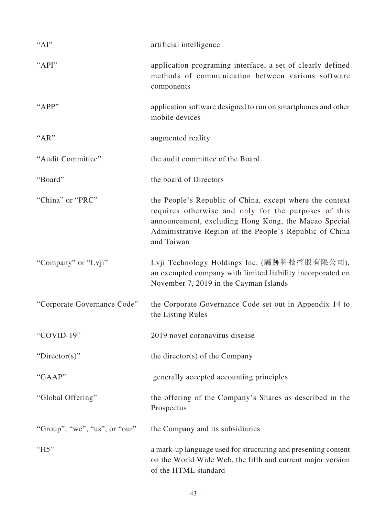| " $AI"$                       | artificial intelligence                                                                                                                                                                                                                           |
|-------------------------------|---------------------------------------------------------------------------------------------------------------------------------------------------------------------------------------------------------------------------------------------------|
| "API"                         | application programing interface, a set of clearly defined<br>methods of communication between various software<br>components                                                                                                                     |
| "APP"                         | application software designed to run on smartphones and other<br>mobile devices                                                                                                                                                                   |
| "AR"                          | augmented reality                                                                                                                                                                                                                                 |
| "Audit Committee"             | the audit committee of the Board                                                                                                                                                                                                                  |
| "Board"                       | the board of Directors                                                                                                                                                                                                                            |
| "China" or "PRC"              | the People's Republic of China, except where the context<br>requires otherwise and only for the purposes of this<br>announcement, excluding Hong Kong, the Macao Special<br>Administrative Region of the People's Republic of China<br>and Taiwan |
| "Company" or "Lvji"           | Lvji Technology Holdings Inc. (驢跡科技控股有限公司),<br>an exempted company with limited liability incorporated on<br>November 7, 2019 in the Cayman Islands                                                                                               |
| "Corporate Governance Code"   | the Corporate Governance Code set out in Appendix 14 to<br>the Listing Rules                                                                                                                                                                      |
| "COVID-19"                    | 2019 novel coronavirus disease                                                                                                                                                                                                                    |
| "Director(s)"                 | the director( $s$ ) of the Company                                                                                                                                                                                                                |
| "GAAP"                        | generally accepted accounting principles                                                                                                                                                                                                          |
| "Global Offering"             | the offering of the Company's Shares as described in the<br>Prospectus                                                                                                                                                                            |
| "Group", "we", "us", or "our" | the Company and its subsidiaries                                                                                                                                                                                                                  |
| " $H5"$                       | a mark-up language used for structuring and presenting content<br>on the World Wide Web, the fifth and current major version<br>of the HTML standard                                                                                              |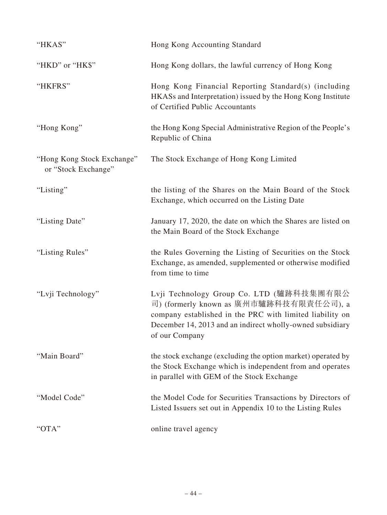| "HKAS"                                            | Hong Kong Accounting Standard                                                                                                                                                                                                  |
|---------------------------------------------------|--------------------------------------------------------------------------------------------------------------------------------------------------------------------------------------------------------------------------------|
| "HKD" or "HK\$"                                   | Hong Kong dollars, the lawful currency of Hong Kong                                                                                                                                                                            |
| "HKFRS"                                           | Hong Kong Financial Reporting Standard(s) (including<br>HKASs and Interpretation) issued by the Hong Kong Institute<br>of Certified Public Accountants                                                                         |
| "Hong Kong"                                       | the Hong Kong Special Administrative Region of the People's<br>Republic of China                                                                                                                                               |
| "Hong Kong Stock Exchange"<br>or "Stock Exchange" | The Stock Exchange of Hong Kong Limited                                                                                                                                                                                        |
| "Listing"                                         | the listing of the Shares on the Main Board of the Stock<br>Exchange, which occurred on the Listing Date                                                                                                                       |
| "Listing Date"                                    | January 17, 2020, the date on which the Shares are listed on<br>the Main Board of the Stock Exchange                                                                                                                           |
| "Listing Rules"                                   | the Rules Governing the Listing of Securities on the Stock<br>Exchange, as amended, supplemented or otherwise modified<br>from time to time                                                                                    |
| "Lvji Technology"                                 | Lvji Technology Group Co. LTD (驢跡科技集團有限公<br>司) (formerly known as 廣州市驢跡科技有限責任公司), a<br>company established in the PRC with limited liability on<br>December 14, 2013 and an indirect wholly-owned subsidiary<br>of our Company |
| "Main Board"                                      | the stock exchange (excluding the option market) operated by<br>the Stock Exchange which is independent from and operates<br>in parallel with GEM of the Stock Exchange                                                        |
| "Model Code"                                      | the Model Code for Securities Transactions by Directors of<br>Listed Issuers set out in Appendix 10 to the Listing Rules                                                                                                       |
| "OTA"                                             | online travel agency                                                                                                                                                                                                           |